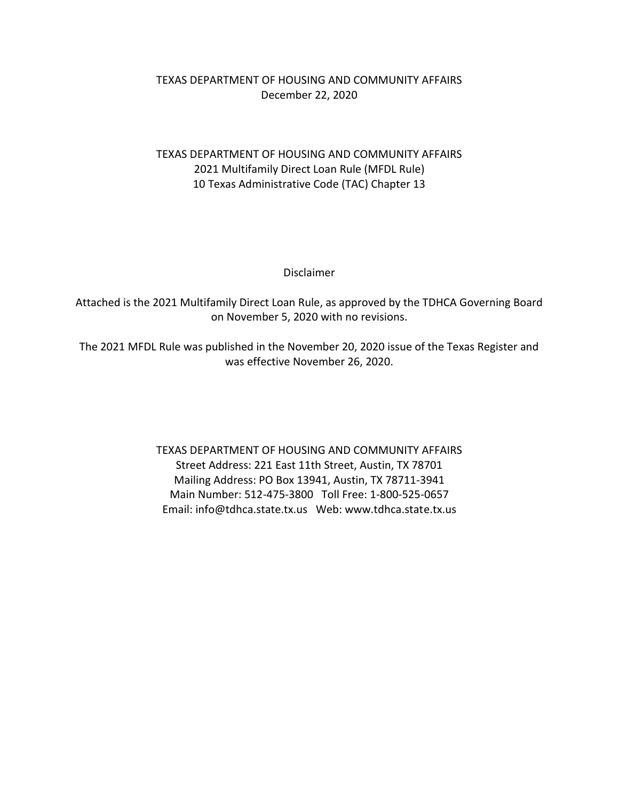## TEXAS DEPARTMENT OF HOUSING AND COMMUNITY AFFAIRS December 22, 2020

## TEXAS DEPARTMENT OF HOUSING AND COMMUNITY AFFAIRS 2021 Multifamily Direct Loan Rule (MFDL Rule) 10 Texas Administrative Code (TAC) Chapter 13

Disclaimer

Attached is the 2021 Multifamily Direct Loan Rule, as approved by the TDHCA Governing Board on November 5, 2020 with no revisions.

The 2021 MFDL Rule was published in the November 20, 2020 issue of the Texas Register and was effective November 26, 2020.

> TEXAS DEPARTMENT OF HOUSING AND COMMUNITY AFFAIRS Street Address: 221 East 11th Street, Austin, TX 78701 Mailing Address: PO Box 13941, Austin, TX 78711-3941 Main Number: 512-475-3800 Toll Free: 1-800-525-0657 Email: info@tdhca.state.tx.us Web: www.tdhca.state.tx.us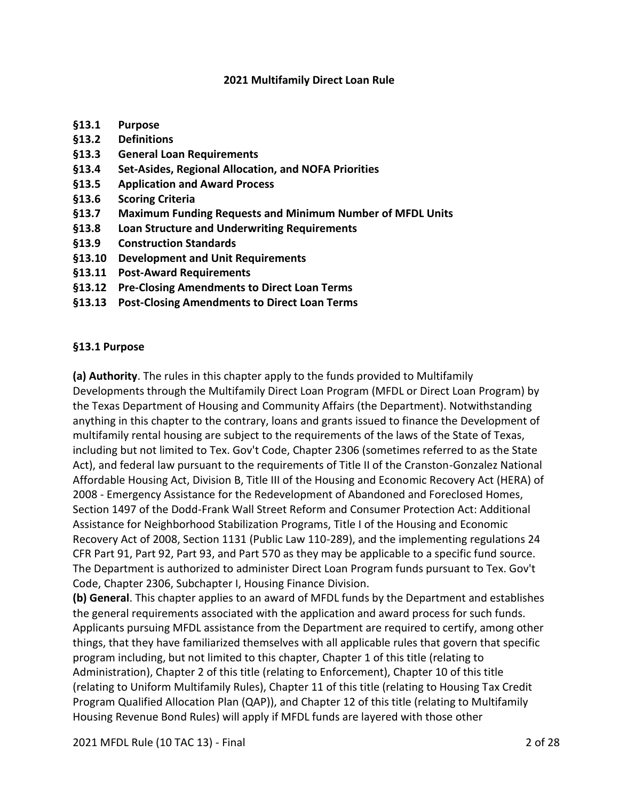#### **2021 Multifamily Direct Loan Rule**

- **§13.1 Purpose**
- **§13.2 Definitions**
- **§13.3 General Loan Requirements**
- **§13.4 Set-Asides, Regional Allocation, and NOFA Priorities**
- **§13.5 Application and Award Process**
- **§13.6 Scoring Criteria**
- **§13.7 Maximum Funding Requests and Minimum Number of MFDL Units**
- **§13.8 Loan Structure and Underwriting Requirements**
- **§13.9 Construction Standards**
- **§13.10 Development and Unit Requirements**
- **§13.11 Post-Award Requirements**
- **§13.12 Pre-Closing Amendments to Direct Loan Terms**
- **§13.13 Post-Closing Amendments to Direct Loan Terms**

#### **§13.1 Purpose**

**(a) Authority**. The rules in this chapter apply to the funds provided to Multifamily Developments through the Multifamily Direct Loan Program (MFDL or Direct Loan Program) by the Texas Department of Housing and Community Affairs (the Department). Notwithstanding anything in this chapter to the contrary, loans and grants issued to finance the Development of multifamily rental housing are subject to the requirements of the laws of the State of Texas, including but not limited to Tex. Gov't Code, Chapter 2306 (sometimes referred to as the State Act), and federal law pursuant to the requirements of Title II of the Cranston-Gonzalez National Affordable Housing Act, Division B, Title III of the Housing and Economic Recovery Act (HERA) of 2008 - Emergency Assistance for the Redevelopment of Abandoned and Foreclosed Homes, Section 1497 of the Dodd-Frank Wall Street Reform and Consumer Protection Act: Additional Assistance for Neighborhood Stabilization Programs, Title I of the Housing and Economic Recovery Act of 2008, Section 1131 (Public Law 110-289), and the implementing regulations 24 CFR Part 91, Part 92, Part 93, and Part 570 as they may be applicable to a specific fund source. The Department is authorized to administer Direct Loan Program funds pursuant to Tex. Gov't Code, Chapter 2306, Subchapter I, Housing Finance Division.

**(b) General**. This chapter applies to an award of MFDL funds by the Department and establishes the general requirements associated with the application and award process for such funds. Applicants pursuing MFDL assistance from the Department are required to certify, among other things, that they have familiarized themselves with all applicable rules that govern that specific program including, but not limited to this chapter, Chapter 1 of this title (relating to Administration), Chapter 2 of this title (relating to Enforcement), Chapter 10 of this title (relating to Uniform Multifamily Rules), Chapter 11 of this title (relating to Housing Tax Credit Program Qualified Allocation Plan (QAP)), and Chapter 12 of this title (relating to Multifamily Housing Revenue Bond Rules) will apply if MFDL funds are layered with those other

2021 MFDL Rule (10 TAC 13) - Final 2 of 28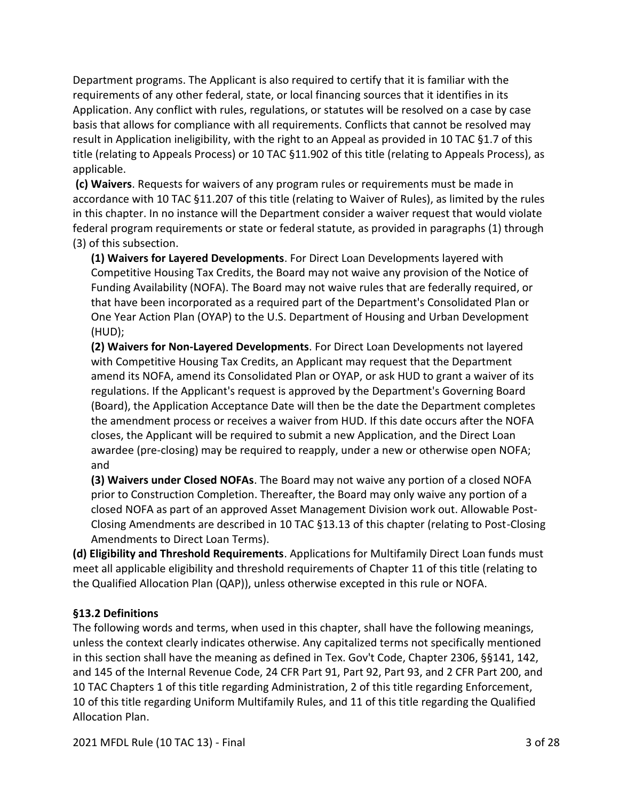Department programs. The Applicant is also required to certify that it is familiar with the requirements of any other federal, state, or local financing sources that it identifies in its Application. Any conflict with rules, regulations, or statutes will be resolved on a case by case basis that allows for compliance with all requirements. Conflicts that cannot be resolved may result in Application ineligibility, with the right to an Appeal as provided in 10 TAC §1.7 of this title (relating to Appeals Process) or 10 TAC §11.902 of this title (relating to Appeals Process), as applicable.

**(c) Waivers**. Requests for waivers of any program rules or requirements must be made in accordance with 10 TAC §11.207 of this title (relating to Waiver of Rules), as limited by the rules in this chapter. In no instance will the Department consider a waiver request that would violate federal program requirements or state or federal statute, as provided in paragraphs (1) through (3) of this subsection.

**(1) Waivers for Layered Developments**. For Direct Loan Developments layered with Competitive Housing Tax Credits, the Board may not waive any provision of the Notice of Funding Availability (NOFA). The Board may not waive rules that are federally required, or that have been incorporated as a required part of the Department's Consolidated Plan or One Year Action Plan (OYAP) to the U.S. Department of Housing and Urban Development (HUD);

**(2) Waivers for Non-Layered Developments**. For Direct Loan Developments not layered with Competitive Housing Tax Credits, an Applicant may request that the Department amend its NOFA, amend its Consolidated Plan or OYAP, or ask HUD to grant a waiver of its regulations. If the Applicant's request is approved by the Department's Governing Board (Board), the Application Acceptance Date will then be the date the Department completes the amendment process or receives a waiver from HUD. If this date occurs after the NOFA closes, the Applicant will be required to submit a new Application, and the Direct Loan awardee (pre-closing) may be required to reapply, under a new or otherwise open NOFA; and

**(3) Waivers under Closed NOFAs**. The Board may not waive any portion of a closed NOFA prior to Construction Completion. Thereafter, the Board may only waive any portion of a closed NOFA as part of an approved Asset Management Division work out. Allowable Post-Closing Amendments are described in 10 TAC §13.13 of this chapter (relating to Post-Closing Amendments to Direct Loan Terms).

**(d) Eligibility and Threshold Requirements**. Applications for Multifamily Direct Loan funds must meet all applicable eligibility and threshold requirements of Chapter 11 of this title (relating to the Qualified Allocation Plan (QAP)), unless otherwise excepted in this rule or NOFA.

### **§13.2 Definitions**

The following words and terms, when used in this chapter, shall have the following meanings, unless the context clearly indicates otherwise. Any capitalized terms not specifically mentioned in this section shall have the meaning as defined in Tex. Gov't Code, Chapter 2306, §§141, 142, and 145 of the Internal Revenue Code, 24 CFR Part 91, Part 92, Part 93, and 2 CFR Part 200, and 10 TAC Chapters 1 of this title regarding Administration, 2 of this title regarding Enforcement, 10 of this title regarding Uniform Multifamily Rules, and 11 of this title regarding the Qualified Allocation Plan.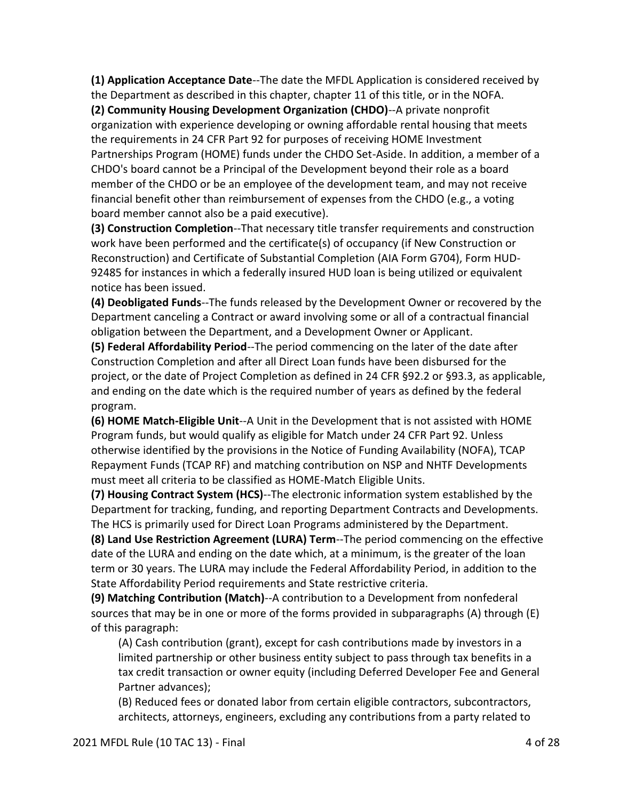**(1) Application Acceptance Date**--The date the MFDL Application is considered received by the Department as described in this chapter, chapter 11 of this title, or in the NOFA.

**(2) Community Housing Development Organization (CHDO)**--A private nonprofit organization with experience developing or owning affordable rental housing that meets the requirements in 24 CFR Part 92 for purposes of receiving HOME Investment Partnerships Program (HOME) funds under the CHDO Set-Aside. In addition, a member of a CHDO's board cannot be a Principal of the Development beyond their role as a board member of the CHDO or be an employee of the development team, and may not receive financial benefit other than reimbursement of expenses from the CHDO (e.g., a voting board member cannot also be a paid executive).

**(3) Construction Completion**--That necessary title transfer requirements and construction work have been performed and the certificate(s) of occupancy (if New Construction or Reconstruction) and Certificate of Substantial Completion (AIA Form G704), Form HUD-92485 for instances in which a federally insured HUD loan is being utilized or equivalent notice has been issued.

**(4) Deobligated Funds**--The funds released by the Development Owner or recovered by the Department canceling a Contract or award involving some or all of a contractual financial obligation between the Department, and a Development Owner or Applicant.

**(5) Federal Affordability Period**--The period commencing on the later of the date after Construction Completion and after all Direct Loan funds have been disbursed for the project, or the date of Project Completion as defined in 24 CFR §92.2 or §93.3, as applicable, and ending on the date which is the required number of years as defined by the federal program.

**(6) HOME Match-Eligible Unit**--A Unit in the Development that is not assisted with HOME Program funds, but would qualify as eligible for Match under 24 CFR Part 92. Unless otherwise identified by the provisions in the Notice of Funding Availability (NOFA), TCAP Repayment Funds (TCAP RF) and matching contribution on NSP and NHTF Developments must meet all criteria to be classified as HOME-Match Eligible Units.

**(7) Housing Contract System (HCS)**--The electronic information system established by the Department for tracking, funding, and reporting Department Contracts and Developments. The HCS is primarily used for Direct Loan Programs administered by the Department.

**(8) Land Use Restriction Agreement (LURA) Term**--The period commencing on the effective date of the LURA and ending on the date which, at a minimum, is the greater of the loan term or 30 years. The LURA may include the Federal Affordability Period, in addition to the State Affordability Period requirements and State restrictive criteria.

**(9) Matching Contribution (Match)**--A contribution to a Development from nonfederal sources that may be in one or more of the forms provided in subparagraphs (A) through (E) of this paragraph:

(A) Cash contribution (grant), except for cash contributions made by investors in a limited partnership or other business entity subject to pass through tax benefits in a tax credit transaction or owner equity (including Deferred Developer Fee and General Partner advances);

(B) Reduced fees or donated labor from certain eligible contractors, subcontractors, architects, attorneys, engineers, excluding any contributions from a party related to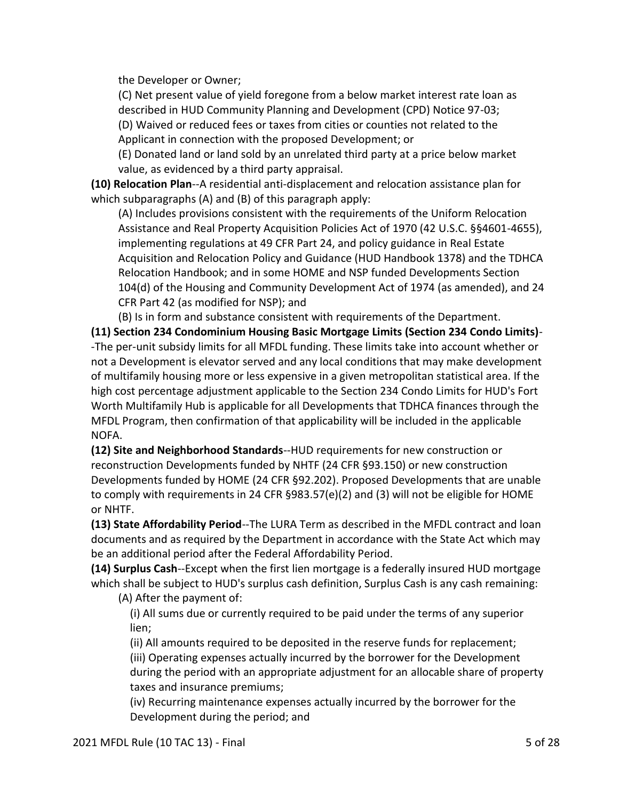the Developer or Owner;

(C) Net present value of yield foregone from a below market interest rate loan as described in HUD Community Planning and Development (CPD) Notice 97-03;

(D) Waived or reduced fees or taxes from cities or counties not related to the Applicant in connection with the proposed Development; or

(E) Donated land or land sold by an unrelated third party at a price below market value, as evidenced by a third party appraisal.

**(10) Relocation Plan**--A residential anti-displacement and relocation assistance plan for which subparagraphs (A) and (B) of this paragraph apply:

(A) Includes provisions consistent with the requirements of the Uniform Relocation Assistance and Real Property Acquisition Policies Act of 1970 (42 U.S.C. §§4601-4655), implementing regulations at 49 CFR Part 24, and policy guidance in Real Estate Acquisition and Relocation Policy and Guidance (HUD Handbook 1378) and the TDHCA Relocation Handbook; and in some HOME and NSP funded Developments Section 104(d) of the Housing and Community Development Act of 1974 (as amended), and 24 CFR Part 42 (as modified for NSP); and

(B) Is in form and substance consistent with requirements of the Department.

**(11) Section 234 Condominium Housing Basic Mortgage Limits (Section 234 Condo Limits)**- -The per-unit subsidy limits for all MFDL funding. These limits take into account whether or not a Development is elevator served and any local conditions that may make development of multifamily housing more or less expensive in a given metropolitan statistical area. If the high cost percentage adjustment applicable to the Section 234 Condo Limits for HUD's Fort Worth Multifamily Hub is applicable for all Developments that TDHCA finances through the MFDL Program, then confirmation of that applicability will be included in the applicable NOFA.

**(12) Site and Neighborhood Standards**--HUD requirements for new construction or reconstruction Developments funded by NHTF (24 CFR §93.150) or new construction Developments funded by HOME (24 CFR §92.202). Proposed Developments that are unable to comply with requirements in 24 CFR §983.57(e)(2) and (3) will not be eligible for HOME or NHTF.

**(13) State Affordability Period**--The LURA Term as described in the MFDL contract and loan documents and as required by the Department in accordance with the State Act which may be an additional period after the Federal Affordability Period.

**(14) Surplus Cash**--Except when the first lien mortgage is a federally insured HUD mortgage which shall be subject to HUD's surplus cash definition, Surplus Cash is any cash remaining:

(A) After the payment of:

(i) All sums due or currently required to be paid under the terms of any superior lien;

(ii) All amounts required to be deposited in the reserve funds for replacement; (iii) Operating expenses actually incurred by the borrower for the Development during the period with an appropriate adjustment for an allocable share of property taxes and insurance premiums;

(iv) Recurring maintenance expenses actually incurred by the borrower for the Development during the period; and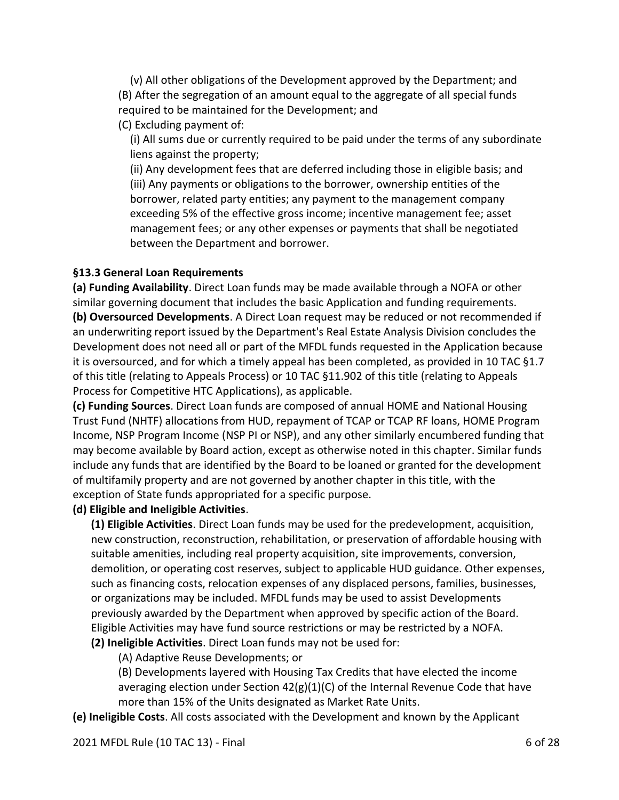(v) All other obligations of the Development approved by the Department; and (B) After the segregation of an amount equal to the aggregate of all special funds required to be maintained for the Development; and

(C) Excluding payment of:

(i) All sums due or currently required to be paid under the terms of any subordinate liens against the property;

(ii) Any development fees that are deferred including those in eligible basis; and (iii) Any payments or obligations to the borrower, ownership entities of the borrower, related party entities; any payment to the management company exceeding 5% of the effective gross income; incentive management fee; asset management fees; or any other expenses or payments that shall be negotiated between the Department and borrower.

### **§13.3 General Loan Requirements**

**(a) Funding Availability**. Direct Loan funds may be made available through a NOFA or other similar governing document that includes the basic Application and funding requirements. **(b) Oversourced Developments**. A Direct Loan request may be reduced or not recommended if an underwriting report issued by the Department's Real Estate Analysis Division concludes the Development does not need all or part of the MFDL funds requested in the Application because it is oversourced, and for which a timely appeal has been completed, as provided in 10 TAC §1.7 of this title (relating to Appeals Process) or 10 TAC §11.902 of this title (relating to Appeals Process for Competitive HTC Applications), as applicable.

**(c) Funding Sources**. Direct Loan funds are composed of annual HOME and National Housing Trust Fund (NHTF) allocations from HUD, repayment of TCAP or TCAP RF loans, HOME Program Income, NSP Program Income (NSP PI or NSP), and any other similarly encumbered funding that may become available by Board action, except as otherwise noted in this chapter. Similar funds include any funds that are identified by the Board to be loaned or granted for the development of multifamily property and are not governed by another chapter in this title, with the exception of State funds appropriated for a specific purpose.

### **(d) Eligible and Ineligible Activities**.

**(1) Eligible Activities**. Direct Loan funds may be used for the predevelopment, acquisition, new construction, reconstruction, rehabilitation, or preservation of affordable housing with suitable amenities, including real property acquisition, site improvements, conversion, demolition, or operating cost reserves, subject to applicable HUD guidance. Other expenses, such as financing costs, relocation expenses of any displaced persons, families, businesses, or organizations may be included. MFDL funds may be used to assist Developments previously awarded by the Department when approved by specific action of the Board. Eligible Activities may have fund source restrictions or may be restricted by a NOFA. **(2) Ineligible Activities**. Direct Loan funds may not be used for:

(A) Adaptive Reuse Developments; or

(B) Developments layered with Housing Tax Credits that have elected the income averaging election under Section  $42(g)(1)(C)$  of the Internal Revenue Code that have more than 15% of the Units designated as Market Rate Units.

**(e) Ineligible Costs**. All costs associated with the Development and known by the Applicant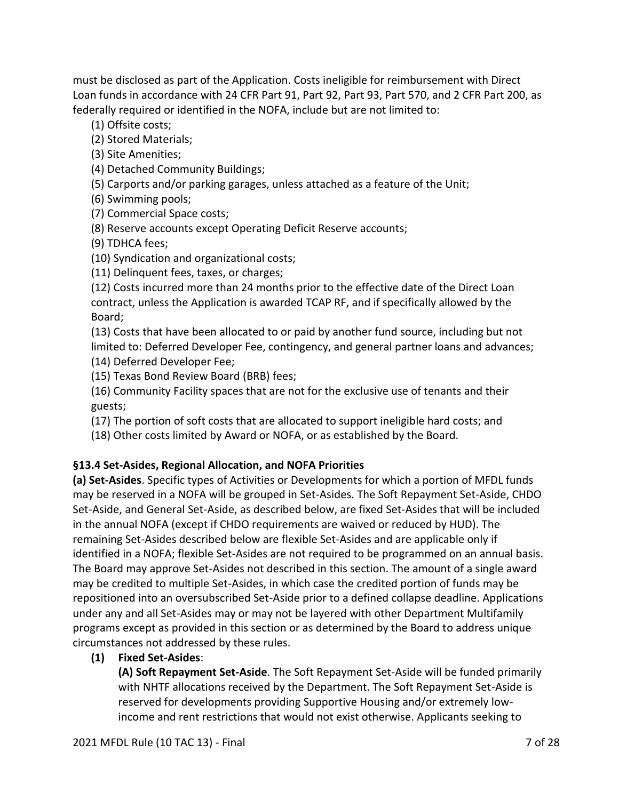must be disclosed as part of the Application. Costs ineligible for reimbursement with Direct Loan funds in accordance with 24 CFR Part 91, Part 92, Part 93, Part 570, and 2 CFR Part 200, as federally required or identified in the NOFA, include but are not limited to:

(1) Offsite costs;

(2) Stored Materials;

- (3) Site Amenities;
- (4) Detached Community Buildings;
- (5) Carports and/or parking garages, unless attached as a feature of the Unit;
- (6) Swimming pools;
- (7) Commercial Space costs;
- (8) Reserve accounts except Operating Deficit Reserve accounts;
- (9) TDHCA fees;
- (10) Syndication and organizational costs;
- (11) Delinquent fees, taxes, or charges;

(12) Costs incurred more than 24 months prior to the effective date of the Direct Loan contract, unless the Application is awarded TCAP RF, and if specifically allowed by the Board;

(13) Costs that have been allocated to or paid by another fund source, including but not limited to: Deferred Developer Fee, contingency, and general partner loans and advances; (14) Deferred Developer Fee;

(15) Texas Bond Review Board (BRB) fees;

(16) Community Facility spaces that are not for the exclusive use of tenants and their guests;

- (17) The portion of soft costs that are allocated to support ineligible hard costs; and
- (18) Other costs limited by Award or NOFA, or as established by the Board.

### **§13.4 Set-Asides, Regional Allocation, and NOFA Priorities**

**(a) Set-Asides**. Specific types of Activities or Developments for which a portion of MFDL funds may be reserved in a NOFA will be grouped in Set-Asides. The Soft Repayment Set-Aside, CHDO Set-Aside, and General Set-Aside, as described below, are fixed Set-Asides that will be included in the annual NOFA (except if CHDO requirements are waived or reduced by HUD). The remaining Set-Asides described below are flexible Set-Asides and are applicable only if identified in a NOFA; flexible Set-Asides are not required to be programmed on an annual basis. The Board may approve Set-Asides not described in this section. The amount of a single award may be credited to multiple Set-Asides, in which case the credited portion of funds may be repositioned into an oversubscribed Set-Aside prior to a defined collapse deadline. Applications under any and all Set-Asides may or may not be layered with other Department Multifamily programs except as provided in this section or as determined by the Board to address unique circumstances not addressed by these rules.

### **(1) Fixed Set-Asides**:

**(A) Soft Repayment Set-Aside**. The Soft Repayment Set-Aside will be funded primarily with NHTF allocations received by the Department. The Soft Repayment Set-Aside is reserved for developments providing Supportive Housing and/or extremely lowincome and rent restrictions that would not exist otherwise. Applicants seeking to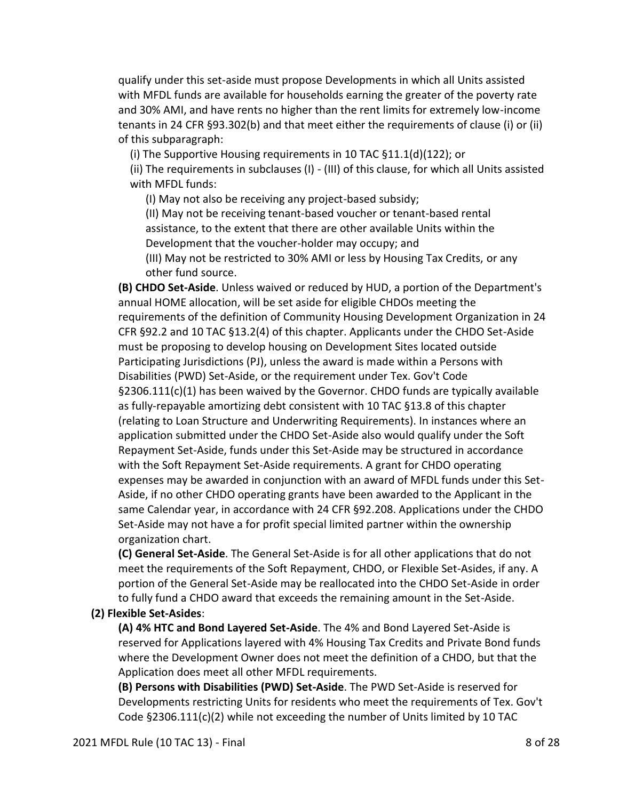qualify under this set-aside must propose Developments in which all Units assisted with MFDL funds are available for households earning the greater of the poverty rate and 30% AMI, and have rents no higher than the rent limits for extremely low-income tenants in 24 CFR §93.302(b) and that meet either the requirements of clause (i) or (ii) of this subparagraph:

(i) The Supportive Housing requirements in 10 TAC §11.1(d)(122); or

(ii) The requirements in subclauses (I) - (III) of this clause, for which all Units assisted with MFDL funds:

(I) May not also be receiving any project-based subsidy;

(II) May not be receiving tenant-based voucher or tenant-based rental assistance, to the extent that there are other available Units within the Development that the voucher-holder may occupy; and

(III) May not be restricted to 30% AMI or less by Housing Tax Credits, or any other fund source.

**(B) CHDO Set-Aside**. Unless waived or reduced by HUD, a portion of the Department's annual HOME allocation, will be set aside for eligible CHDOs meeting the requirements of the definition of Community Housing Development Organization in 24 CFR §92.2 and 10 TAC §13.2(4) of this chapter. Applicants under the CHDO Set-Aside must be proposing to develop housing on Development Sites located outside Participating Jurisdictions (PJ), unless the award is made within a Persons with Disabilities (PWD) Set-Aside, or the requirement under Tex. Gov't Code  $\S 2306.111(c)(1)$  has been waived by the Governor. CHDO funds are typically available as fully-repayable amortizing debt consistent with 10 TAC §13.8 of this chapter (relating to Loan Structure and Underwriting Requirements). In instances where an application submitted under the CHDO Set-Aside also would qualify under the Soft Repayment Set-Aside, funds under this Set-Aside may be structured in accordance with the Soft Repayment Set-Aside requirements. A grant for CHDO operating expenses may be awarded in conjunction with an award of MFDL funds under this Set-Aside, if no other CHDO operating grants have been awarded to the Applicant in the same Calendar year, in accordance with 24 CFR §92.208. Applications under the CHDO Set-Aside may not have a for profit special limited partner within the ownership organization chart.

**(C) General Set-Aside**. The General Set-Aside is for all other applications that do not meet the requirements of the Soft Repayment, CHDO, or Flexible Set-Asides, if any. A portion of the General Set-Aside may be reallocated into the CHDO Set-Aside in order to fully fund a CHDO award that exceeds the remaining amount in the Set-Aside.

#### **(2) Flexible Set-Asides**:

**(A) 4% HTC and Bond Layered Set-Aside**. The 4% and Bond Layered Set-Aside is reserved for Applications layered with 4% Housing Tax Credits and Private Bond funds where the Development Owner does not meet the definition of a CHDO, but that the Application does meet all other MFDL requirements.

**(B) Persons with Disabilities (PWD) Set-Aside**. The PWD Set-Aside is reserved for Developments restricting Units for residents who meet the requirements of Tex. Gov't Code §2306.111(c)(2) while not exceeding the number of Units limited by 10 TAC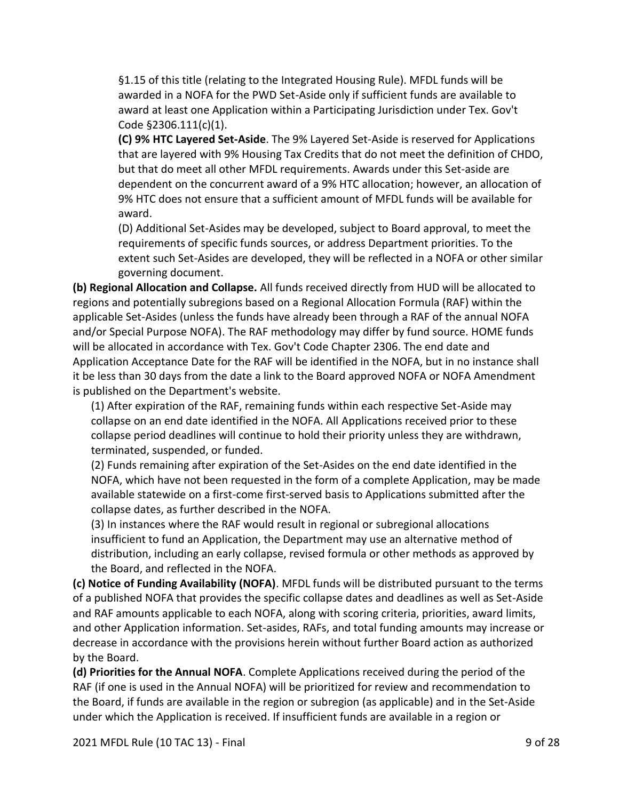§1.15 of this title (relating to the Integrated Housing Rule). MFDL funds will be awarded in a NOFA for the PWD Set-Aside only if sufficient funds are available to award at least one Application within a Participating Jurisdiction under Tex. Gov't Code §2306.111(c)(1).

**(C) 9% HTC Layered Set-Aside**. The 9% Layered Set-Aside is reserved for Applications that are layered with 9% Housing Tax Credits that do not meet the definition of CHDO, but that do meet all other MFDL requirements. Awards under this Set-aside are dependent on the concurrent award of a 9% HTC allocation; however, an allocation of 9% HTC does not ensure that a sufficient amount of MFDL funds will be available for award.

(D) Additional Set-Asides may be developed, subject to Board approval, to meet the requirements of specific funds sources, or address Department priorities. To the extent such Set-Asides are developed, they will be reflected in a NOFA or other similar governing document.

**(b) Regional Allocation and Collapse.** All funds received directly from HUD will be allocated to regions and potentially subregions based on a Regional Allocation Formula (RAF) within the applicable Set-Asides (unless the funds have already been through a RAF of the annual NOFA and/or Special Purpose NOFA). The RAF methodology may differ by fund source. HOME funds will be allocated in accordance with Tex. Gov't Code Chapter 2306. The end date and Application Acceptance Date for the RAF will be identified in the NOFA, but in no instance shall it be less than 30 days from the date a link to the Board approved NOFA or NOFA Amendment is published on the Department's website.

(1) After expiration of the RAF, remaining funds within each respective Set-Aside may collapse on an end date identified in the NOFA. All Applications received prior to these collapse period deadlines will continue to hold their priority unless they are withdrawn, terminated, suspended, or funded.

(2) Funds remaining after expiration of the Set-Asides on the end date identified in the NOFA, which have not been requested in the form of a complete Application, may be made available statewide on a first-come first-served basis to Applications submitted after the collapse dates, as further described in the NOFA.

(3) In instances where the RAF would result in regional or subregional allocations insufficient to fund an Application, the Department may use an alternative method of distribution, including an early collapse, revised formula or other methods as approved by the Board, and reflected in the NOFA.

**(c) Notice of Funding Availability (NOFA)**. MFDL funds will be distributed pursuant to the terms of a published NOFA that provides the specific collapse dates and deadlines as well as Set-Aside and RAF amounts applicable to each NOFA, along with scoring criteria, priorities, award limits, and other Application information. Set-asides, RAFs, and total funding amounts may increase or decrease in accordance with the provisions herein without further Board action as authorized by the Board.

**(d) Priorities for the Annual NOFA**. Complete Applications received during the period of the RAF (if one is used in the Annual NOFA) will be prioritized for review and recommendation to the Board, if funds are available in the region or subregion (as applicable) and in the Set-Aside under which the Application is received. If insufficient funds are available in a region or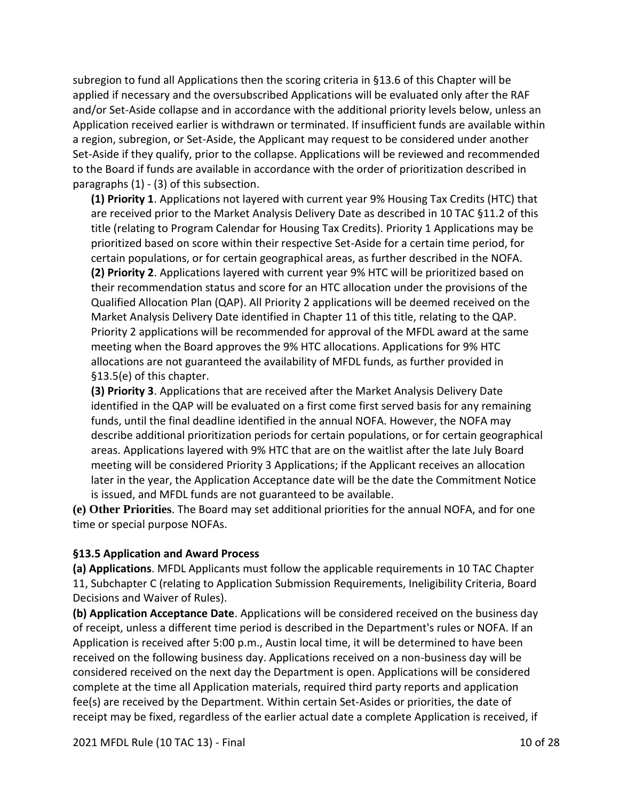subregion to fund all Applications then the scoring criteria in §13.6 of this Chapter will be applied if necessary and the oversubscribed Applications will be evaluated only after the RAF and/or Set-Aside collapse and in accordance with the additional priority levels below, unless an Application received earlier is withdrawn or terminated. If insufficient funds are available within a region, subregion, or Set-Aside, the Applicant may request to be considered under another Set-Aside if they qualify, prior to the collapse. Applications will be reviewed and recommended to the Board if funds are available in accordance with the order of prioritization described in paragraphs (1) - (3) of this subsection.

**(1) Priority 1**. Applications not layered with current year 9% Housing Tax Credits (HTC) that are received prior to the Market Analysis Delivery Date as described in 10 TAC §11.2 of this title (relating to Program Calendar for Housing Tax Credits). Priority 1 Applications may be prioritized based on score within their respective Set-Aside for a certain time period, for certain populations, or for certain geographical areas, as further described in the NOFA. **(2) Priority 2**. Applications layered with current year 9% HTC will be prioritized based on their recommendation status and score for an HTC allocation under the provisions of the Qualified Allocation Plan (QAP). All Priority 2 applications will be deemed received on the Market Analysis Delivery Date identified in Chapter 11 of this title, relating to the QAP. Priority 2 applications will be recommended for approval of the MFDL award at the same meeting when the Board approves the 9% HTC allocations. Applications for 9% HTC allocations are not guaranteed the availability of MFDL funds, as further provided in §13.5(e) of this chapter.

**(3) Priority 3**. Applications that are received after the Market Analysis Delivery Date identified in the QAP will be evaluated on a first come first served basis for any remaining funds, until the final deadline identified in the annual NOFA. However, the NOFA may describe additional prioritization periods for certain populations, or for certain geographical areas. Applications layered with 9% HTC that are on the waitlist after the late July Board meeting will be considered Priority 3 Applications; if the Applicant receives an allocation later in the year, the Application Acceptance date will be the date the Commitment Notice is issued, and MFDL funds are not guaranteed to be available.

**(e) Other Priorities**. The Board may set additional priorities for the annual NOFA, and for one time or special purpose NOFAs.

### **§13.5 Application and Award Process**

**(a) Applications**. MFDL Applicants must follow the applicable requirements in 10 TAC Chapter 11, Subchapter C (relating to Application Submission Requirements, Ineligibility Criteria, Board Decisions and Waiver of Rules).

**(b) Application Acceptance Date**. Applications will be considered received on the business day of receipt, unless a different time period is described in the Department's rules or NOFA. If an Application is received after 5:00 p.m., Austin local time, it will be determined to have been received on the following business day. Applications received on a non-business day will be considered received on the next day the Department is open. Applications will be considered complete at the time all Application materials, required third party reports and application fee(s) are received by the Department. Within certain Set-Asides or priorities, the date of receipt may be fixed, regardless of the earlier actual date a complete Application is received, if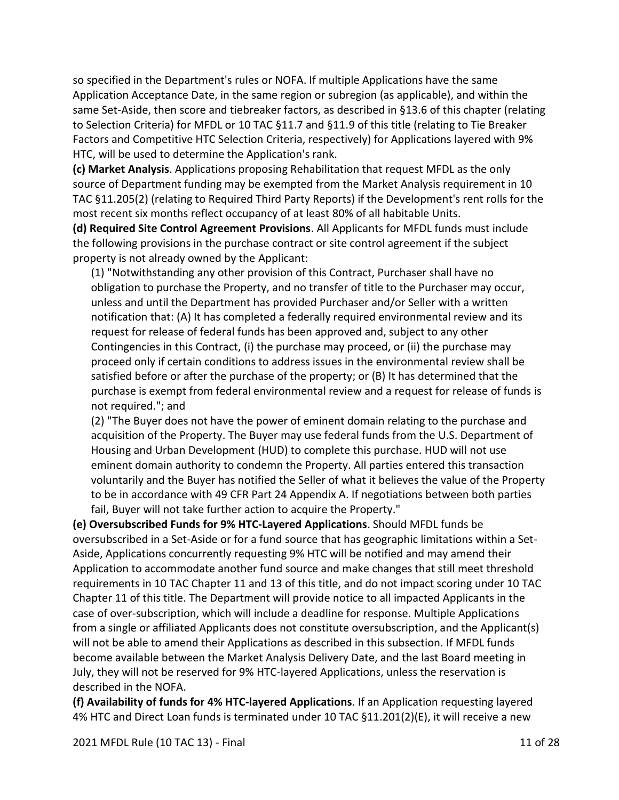so specified in the Department's rules or NOFA. If multiple Applications have the same Application Acceptance Date, in the same region or subregion (as applicable), and within the same Set-Aside, then score and tiebreaker factors, as described in §13.6 of this chapter (relating to Selection Criteria) for MFDL or 10 TAC §11.7 and §11.9 of this title (relating to Tie Breaker Factors and Competitive HTC Selection Criteria, respectively) for Applications layered with 9% HTC, will be used to determine the Application's rank.

**(c) Market Analysis**. Applications proposing Rehabilitation that request MFDL as the only source of Department funding may be exempted from the Market Analysis requirement in 10 TAC §11.205(2) (relating to Required Third Party Reports) if the Development's rent rolls for the most recent six months reflect occupancy of at least 80% of all habitable Units.

**(d) Required Site Control Agreement Provisions**. All Applicants for MFDL funds must include the following provisions in the purchase contract or site control agreement if the subject property is not already owned by the Applicant:

(1) "Notwithstanding any other provision of this Contract, Purchaser shall have no obligation to purchase the Property, and no transfer of title to the Purchaser may occur, unless and until the Department has provided Purchaser and/or Seller with a written notification that: (A) It has completed a federally required environmental review and its request for release of federal funds has been approved and, subject to any other Contingencies in this Contract, (i) the purchase may proceed, or (ii) the purchase may proceed only if certain conditions to address issues in the environmental review shall be satisfied before or after the purchase of the property; or (B) It has determined that the purchase is exempt from federal environmental review and a request for release of funds is not required."; and

(2) "The Buyer does not have the power of eminent domain relating to the purchase and acquisition of the Property. The Buyer may use federal funds from the U.S. Department of Housing and Urban Development (HUD) to complete this purchase. HUD will not use eminent domain authority to condemn the Property. All parties entered this transaction voluntarily and the Buyer has notified the Seller of what it believes the value of the Property to be in accordance with 49 CFR Part 24 Appendix A. If negotiations between both parties fail, Buyer will not take further action to acquire the Property."

**(e) Oversubscribed Funds for 9% HTC-Layered Applications**. Should MFDL funds be oversubscribed in a Set-Aside or for a fund source that has geographic limitations within a Set-Aside, Applications concurrently requesting 9% HTC will be notified and may amend their Application to accommodate another fund source and make changes that still meet threshold requirements in 10 TAC Chapter 11 and 13 of this title, and do not impact scoring under 10 TAC Chapter 11 of this title. The Department will provide notice to all impacted Applicants in the case of over-subscription, which will include a deadline for response. Multiple Applications from a single or affiliated Applicants does not constitute oversubscription, and the Applicant(s) will not be able to amend their Applications as described in this subsection. If MFDL funds become available between the Market Analysis Delivery Date, and the last Board meeting in July, they will not be reserved for 9% HTC-layered Applications, unless the reservation is described in the NOFA.

**(f) Availability of funds for 4% HTC-layered Applications**. If an Application requesting layered 4% HTC and Direct Loan funds is terminated under 10 TAC §11.201(2)(E), it will receive a new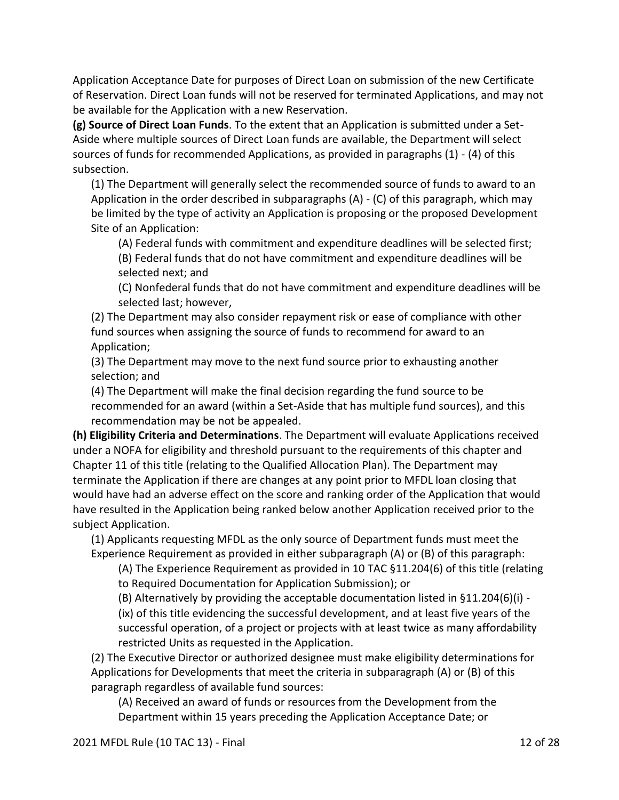Application Acceptance Date for purposes of Direct Loan on submission of the new Certificate of Reservation. Direct Loan funds will not be reserved for terminated Applications, and may not be available for the Application with a new Reservation.

**(g) Source of Direct Loan Funds**. To the extent that an Application is submitted under a Set-Aside where multiple sources of Direct Loan funds are available, the Department will select sources of funds for recommended Applications, as provided in paragraphs (1) - (4) of this subsection.

(1) The Department will generally select the recommended source of funds to award to an Application in the order described in subparagraphs (A) - (C) of this paragraph, which may be limited by the type of activity an Application is proposing or the proposed Development Site of an Application:

(A) Federal funds with commitment and expenditure deadlines will be selected first;

(B) Federal funds that do not have commitment and expenditure deadlines will be selected next; and

(C) Nonfederal funds that do not have commitment and expenditure deadlines will be selected last; however,

(2) The Department may also consider repayment risk or ease of compliance with other fund sources when assigning the source of funds to recommend for award to an Application;

(3) The Department may move to the next fund source prior to exhausting another selection; and

(4) The Department will make the final decision regarding the fund source to be recommended for an award (within a Set-Aside that has multiple fund sources), and this recommendation may be not be appealed.

**(h) Eligibility Criteria and Determinations**. The Department will evaluate Applications received under a NOFA for eligibility and threshold pursuant to the requirements of this chapter and Chapter 11 of this title (relating to the Qualified Allocation Plan). The Department may terminate the Application if there are changes at any point prior to MFDL loan closing that would have had an adverse effect on the score and ranking order of the Application that would have resulted in the Application being ranked below another Application received prior to the subject Application.

(1) Applicants requesting MFDL as the only source of Department funds must meet the Experience Requirement as provided in either subparagraph (A) or (B) of this paragraph:

(A) The Experience Requirement as provided in 10 TAC §11.204(6) of this title (relating to Required Documentation for Application Submission); or

(B) Alternatively by providing the acceptable documentation listed in §11.204(6)(i) -

(ix) of this title evidencing the successful development, and at least five years of the successful operation, of a project or projects with at least twice as many affordability restricted Units as requested in the Application.

(2) The Executive Director or authorized designee must make eligibility determinations for Applications for Developments that meet the criteria in subparagraph (A) or (B) of this paragraph regardless of available fund sources:

(A) Received an award of funds or resources from the Development from the Department within 15 years preceding the Application Acceptance Date; or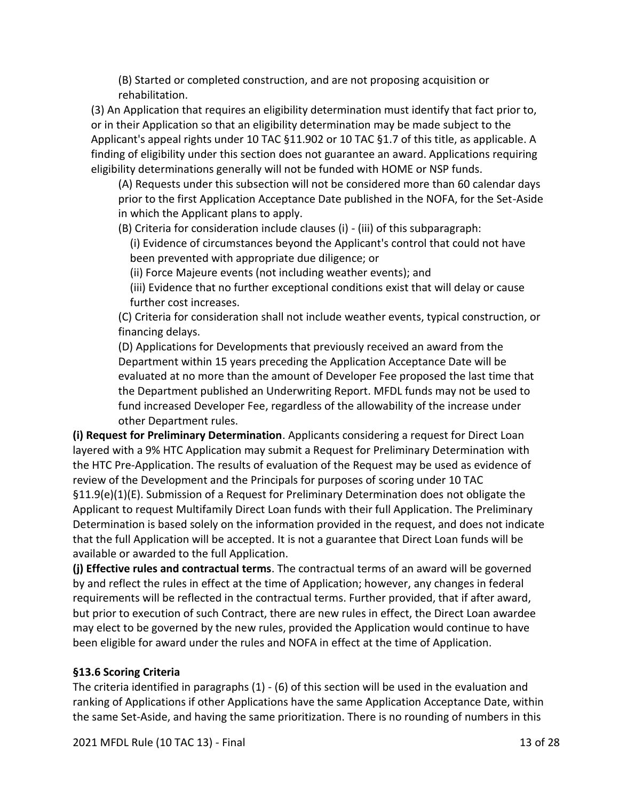(B) Started or completed construction, and are not proposing acquisition or rehabilitation.

(3) An Application that requires an eligibility determination must identify that fact prior to, or in their Application so that an eligibility determination may be made subject to the Applicant's appeal rights under 10 TAC §11.902 or 10 TAC §1.7 of this title, as applicable. A finding of eligibility under this section does not guarantee an award. Applications requiring eligibility determinations generally will not be funded with HOME or NSP funds.

(A) Requests under this subsection will not be considered more than 60 calendar days prior to the first Application Acceptance Date published in the NOFA, for the Set-Aside in which the Applicant plans to apply.

(B) Criteria for consideration include clauses (i) - (iii) of this subparagraph:

(i) Evidence of circumstances beyond the Applicant's control that could not have been prevented with appropriate due diligence; or

(ii) Force Majeure events (not including weather events); and

(iii) Evidence that no further exceptional conditions exist that will delay or cause further cost increases.

(C) Criteria for consideration shall not include weather events, typical construction, or financing delays.

(D) Applications for Developments that previously received an award from the Department within 15 years preceding the Application Acceptance Date will be evaluated at no more than the amount of Developer Fee proposed the last time that the Department published an Underwriting Report. MFDL funds may not be used to fund increased Developer Fee, regardless of the allowability of the increase under other Department rules.

**(i) Request for Preliminary Determination**. Applicants considering a request for Direct Loan layered with a 9% HTC Application may submit a Request for Preliminary Determination with the HTC Pre-Application. The results of evaluation of the Request may be used as evidence of review of the Development and the Principals for purposes of scoring under 10 TAC §11.9(e)(1)(E). Submission of a Request for Preliminary Determination does not obligate the Applicant to request Multifamily Direct Loan funds with their full Application. The Preliminary Determination is based solely on the information provided in the request, and does not indicate that the full Application will be accepted. It is not a guarantee that Direct Loan funds will be available or awarded to the full Application.

**(j) Effective rules and contractual terms**. The contractual terms of an award will be governed by and reflect the rules in effect at the time of Application; however, any changes in federal requirements will be reflected in the contractual terms. Further provided, that if after award, but prior to execution of such Contract, there are new rules in effect, the Direct Loan awardee may elect to be governed by the new rules, provided the Application would continue to have been eligible for award under the rules and NOFA in effect at the time of Application.

### **§13.6 Scoring Criteria**

The criteria identified in paragraphs (1) - (6) of this section will be used in the evaluation and ranking of Applications if other Applications have the same Application Acceptance Date, within the same Set-Aside, and having the same prioritization. There is no rounding of numbers in this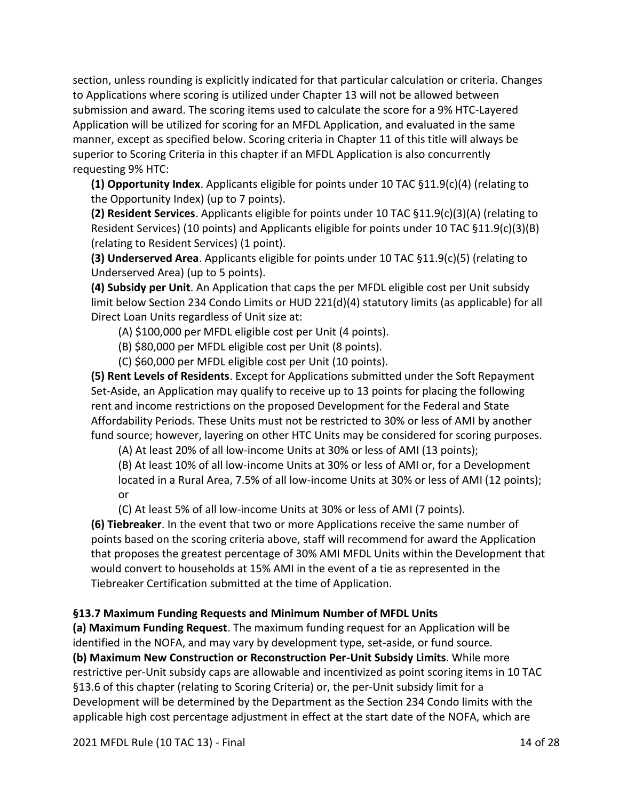section, unless rounding is explicitly indicated for that particular calculation or criteria. Changes to Applications where scoring is utilized under Chapter 13 will not be allowed between submission and award. The scoring items used to calculate the score for a 9% HTC-Layered Application will be utilized for scoring for an MFDL Application, and evaluated in the same manner, except as specified below. Scoring criteria in Chapter 11 of this title will always be superior to Scoring Criteria in this chapter if an MFDL Application is also concurrently requesting 9% HTC:

**(1) Opportunity Index**. Applicants eligible for points under 10 TAC §11.9(c)(4) (relating to the Opportunity Index) (up to 7 points).

**(2) Resident Services**. Applicants eligible for points under 10 TAC §11.9(c)(3)(A) (relating to Resident Services) (10 points) and Applicants eligible for points under 10 TAC §11.9(c)(3)(B) (relating to Resident Services) (1 point).

**(3) Underserved Area**. Applicants eligible for points under 10 TAC §11.9(c)(5) (relating to Underserved Area) (up to 5 points).

**(4) Subsidy per Unit**. An Application that caps the per MFDL eligible cost per Unit subsidy limit below Section 234 Condo Limits or HUD 221(d)(4) statutory limits (as applicable) for all Direct Loan Units regardless of Unit size at:

(A) \$100,000 per MFDL eligible cost per Unit (4 points).

(B) \$80,000 per MFDL eligible cost per Unit (8 points).

(C) \$60,000 per MFDL eligible cost per Unit (10 points).

**(5) Rent Levels of Residents**. Except for Applications submitted under the Soft Repayment Set-Aside, an Application may qualify to receive up to 13 points for placing the following rent and income restrictions on the proposed Development for the Federal and State Affordability Periods. These Units must not be restricted to 30% or less of AMI by another fund source; however, layering on other HTC Units may be considered for scoring purposes.

(A) At least 20% of all low-income Units at 30% or less of AMI (13 points);

(B) At least 10% of all low-income Units at 30% or less of AMI or, for a Development

located in a Rural Area, 7.5% of all low-income Units at 30% or less of AMI (12 points); or

(C) At least 5% of all low-income Units at 30% or less of AMI (7 points).

**(6) Tiebreaker**. In the event that two or more Applications receive the same number of points based on the scoring criteria above, staff will recommend for award the Application that proposes the greatest percentage of 30% AMI MFDL Units within the Development that would convert to households at 15% AMI in the event of a tie as represented in the Tiebreaker Certification submitted at the time of Application.

### **§13.7 Maximum Funding Requests and Minimum Number of MFDL Units**

**(a) Maximum Funding Request**. The maximum funding request for an Application will be identified in the NOFA, and may vary by development type, set-aside, or fund source. **(b) Maximum New Construction or Reconstruction Per-Unit Subsidy Limits**. While more restrictive per-Unit subsidy caps are allowable and incentivized as point scoring items in 10 TAC §13.6 of this chapter (relating to Scoring Criteria) or, the per-Unit subsidy limit for a Development will be determined by the Department as the Section 234 Condo limits with the applicable high cost percentage adjustment in effect at the start date of the NOFA, which are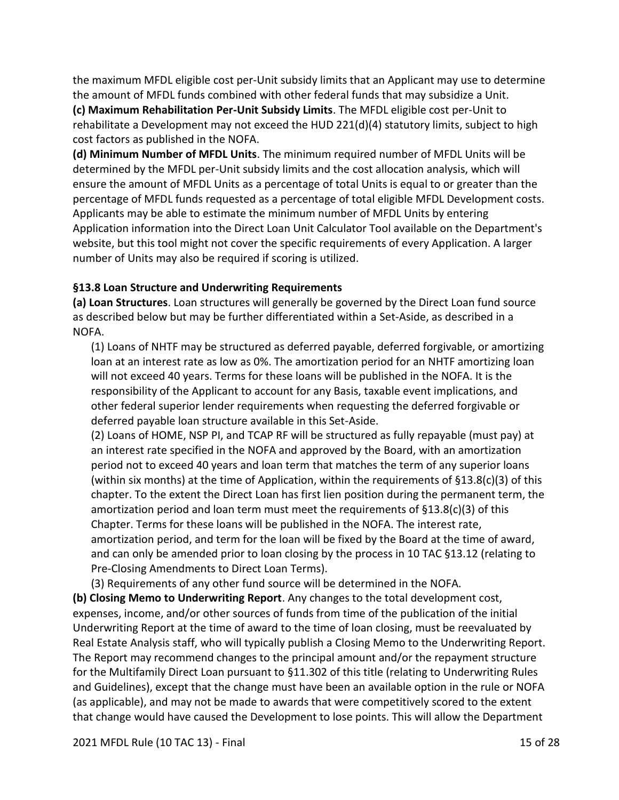the maximum MFDL eligible cost per-Unit subsidy limits that an Applicant may use to determine the amount of MFDL funds combined with other federal funds that may subsidize a Unit. **(c) Maximum Rehabilitation Per-Unit Subsidy Limits**. The MFDL eligible cost per-Unit to rehabilitate a Development may not exceed the HUD 221(d)(4) statutory limits, subject to high cost factors as published in the NOFA.

**(d) Minimum Number of MFDL Units**. The minimum required number of MFDL Units will be determined by the MFDL per-Unit subsidy limits and the cost allocation analysis, which will ensure the amount of MFDL Units as a percentage of total Units is equal to or greater than the percentage of MFDL funds requested as a percentage of total eligible MFDL Development costs. Applicants may be able to estimate the minimum number of MFDL Units by entering Application information into the Direct Loan Unit Calculator Tool available on the Department's website, but this tool might not cover the specific requirements of every Application. A larger number of Units may also be required if scoring is utilized.

### **§13.8 Loan Structure and Underwriting Requirements**

**(a) Loan Structures**. Loan structures will generally be governed by the Direct Loan fund source as described below but may be further differentiated within a Set-Aside, as described in a NOFA.

(1) Loans of NHTF may be structured as deferred payable, deferred forgivable, or amortizing loan at an interest rate as low as 0%. The amortization period for an NHTF amortizing loan will not exceed 40 years. Terms for these loans will be published in the NOFA. It is the responsibility of the Applicant to account for any Basis, taxable event implications, and other federal superior lender requirements when requesting the deferred forgivable or deferred payable loan structure available in this Set-Aside.

(2) Loans of HOME, NSP PI, and TCAP RF will be structured as fully repayable (must pay) at an interest rate specified in the NOFA and approved by the Board, with an amortization period not to exceed 40 years and loan term that matches the term of any superior loans (within six months) at the time of Application, within the requirements of  $\S 13.8(c)(3)$  of this chapter. To the extent the Direct Loan has first lien position during the permanent term, the amortization period and loan term must meet the requirements of  $\S 13.8(c)(3)$  of this Chapter. Terms for these loans will be published in the NOFA. The interest rate, amortization period, and term for the loan will be fixed by the Board at the time of award, and can only be amended prior to loan closing by the process in 10 TAC §13.12 (relating to Pre-Closing Amendments to Direct Loan Terms).

(3) Requirements of any other fund source will be determined in the NOFA.

**(b) Closing Memo to Underwriting Report**. Any changes to the total development cost, expenses, income, and/or other sources of funds from time of the publication of the initial Underwriting Report at the time of award to the time of loan closing, must be reevaluated by Real Estate Analysis staff, who will typically publish a Closing Memo to the Underwriting Report. The Report may recommend changes to the principal amount and/or the repayment structure for the Multifamily Direct Loan pursuant to §11.302 of this title (relating to Underwriting Rules and Guidelines), except that the change must have been an available option in the rule or NOFA (as applicable), and may not be made to awards that were competitively scored to the extent that change would have caused the Development to lose points. This will allow the Department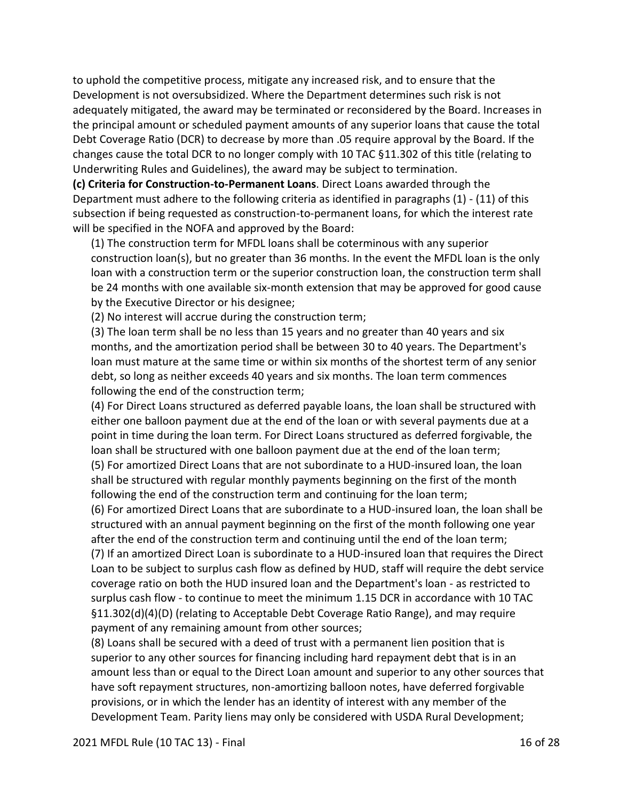to uphold the competitive process, mitigate any increased risk, and to ensure that the Development is not oversubsidized. Where the Department determines such risk is not adequately mitigated, the award may be terminated or reconsidered by the Board. Increases in the principal amount or scheduled payment amounts of any superior loans that cause the total Debt Coverage Ratio (DCR) to decrease by more than .05 require approval by the Board. If the changes cause the total DCR to no longer comply with 10 TAC §11.302 of this title (relating to Underwriting Rules and Guidelines), the award may be subject to termination.

**(c) Criteria for Construction-to-Permanent Loans**. Direct Loans awarded through the Department must adhere to the following criteria as identified in paragraphs (1) - (11) of this subsection if being requested as construction-to-permanent loans, for which the interest rate will be specified in the NOFA and approved by the Board:

(1) The construction term for MFDL loans shall be coterminous with any superior construction loan(s), but no greater than 36 months. In the event the MFDL loan is the only loan with a construction term or the superior construction loan, the construction term shall be 24 months with one available six-month extension that may be approved for good cause by the Executive Director or his designee;

(2) No interest will accrue during the construction term;

(3) The loan term shall be no less than 15 years and no greater than 40 years and six months, and the amortization period shall be between 30 to 40 years. The Department's loan must mature at the same time or within six months of the shortest term of any senior debt, so long as neither exceeds 40 years and six months. The loan term commences following the end of the construction term;

(4) For Direct Loans structured as deferred payable loans, the loan shall be structured with either one balloon payment due at the end of the loan or with several payments due at a point in time during the loan term. For Direct Loans structured as deferred forgivable, the loan shall be structured with one balloon payment due at the end of the loan term; (5) For amortized Direct Loans that are not subordinate to a HUD-insured loan, the loan shall be structured with regular monthly payments beginning on the first of the month following the end of the construction term and continuing for the loan term;

(6) For amortized Direct Loans that are subordinate to a HUD-insured loan, the loan shall be structured with an annual payment beginning on the first of the month following one year after the end of the construction term and continuing until the end of the loan term;

(7) If an amortized Direct Loan is subordinate to a HUD-insured loan that requires the Direct Loan to be subject to surplus cash flow as defined by HUD, staff will require the debt service coverage ratio on both the HUD insured loan and the Department's loan - as restricted to surplus cash flow - to continue to meet the minimum 1.15 DCR in accordance with 10 TAC §11.302(d)(4)(D) (relating to Acceptable Debt Coverage Ratio Range), and may require payment of any remaining amount from other sources;

(8) Loans shall be secured with a deed of trust with a permanent lien position that is superior to any other sources for financing including hard repayment debt that is in an amount less than or equal to the Direct Loan amount and superior to any other sources that have soft repayment structures, non-amortizing balloon notes, have deferred forgivable provisions, or in which the lender has an identity of interest with any member of the Development Team. Parity liens may only be considered with USDA Rural Development;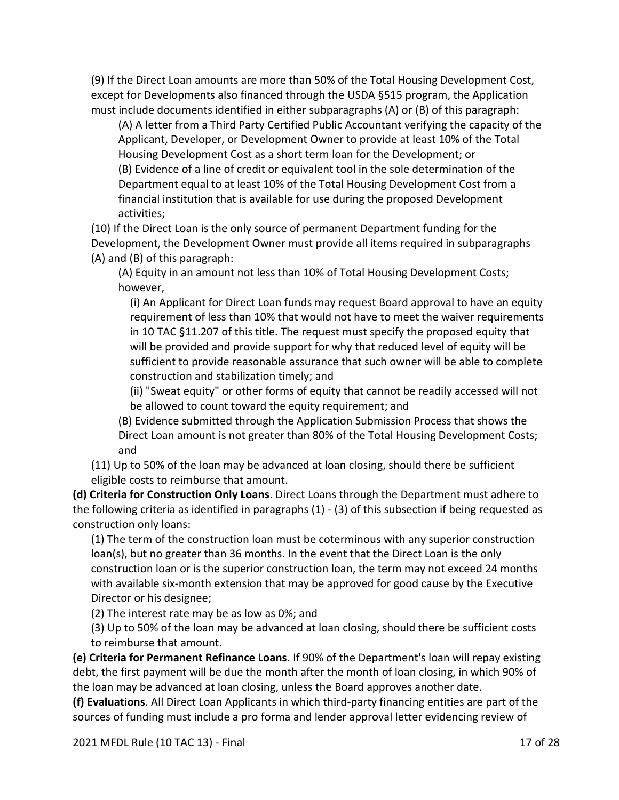(9) If the Direct Loan amounts are more than 50% of the Total Housing Development Cost, except for Developments also financed through the USDA §515 program, the Application must include documents identified in either subparagraphs (A) or (B) of this paragraph:

(A) A letter from a Third Party Certified Public Accountant verifying the capacity of the Applicant, Developer, or Development Owner to provide at least 10% of the Total Housing Development Cost as a short term loan for the Development; or (B) Evidence of a line of credit or equivalent tool in the sole determination of the Department equal to at least 10% of the Total Housing Development Cost from a financial institution that is available for use during the proposed Development activities;

(10) If the Direct Loan is the only source of permanent Department funding for the Development, the Development Owner must provide all items required in subparagraphs (A) and (B) of this paragraph:

(A) Equity in an amount not less than 10% of Total Housing Development Costs; however,

(i) An Applicant for Direct Loan funds may request Board approval to have an equity requirement of less than 10% that would not have to meet the waiver requirements in 10 TAC §11.207 of this title. The request must specify the proposed equity that will be provided and provide support for why that reduced level of equity will be sufficient to provide reasonable assurance that such owner will be able to complete construction and stabilization timely; and

(ii) "Sweat equity" or other forms of equity that cannot be readily accessed will not be allowed to count toward the equity requirement; and

(B) Evidence submitted through the Application Submission Process that shows the Direct Loan amount is not greater than 80% of the Total Housing Development Costs; and

(11) Up to 50% of the loan may be advanced at loan closing, should there be sufficient eligible costs to reimburse that amount.

**(d) Criteria for Construction Only Loans**. Direct Loans through the Department must adhere to the following criteria as identified in paragraphs (1) - (3) of this subsection if being requested as construction only loans:

(1) The term of the construction loan must be coterminous with any superior construction loan(s), but no greater than 36 months. In the event that the Direct Loan is the only construction loan or is the superior construction loan, the term may not exceed 24 months with available six-month extension that may be approved for good cause by the Executive Director or his designee;

(2) The interest rate may be as low as 0%; and

(3) Up to 50% of the loan may be advanced at loan closing, should there be sufficient costs to reimburse that amount.

**(e) Criteria for Permanent Refinance Loans**. If 90% of the Department's loan will repay existing debt, the first payment will be due the month after the month of loan closing, in which 90% of the loan may be advanced at loan closing, unless the Board approves another date.

**(f) Evaluations**. All Direct Loan Applicants in which third-party financing entities are part of the sources of funding must include a pro forma and lender approval letter evidencing review of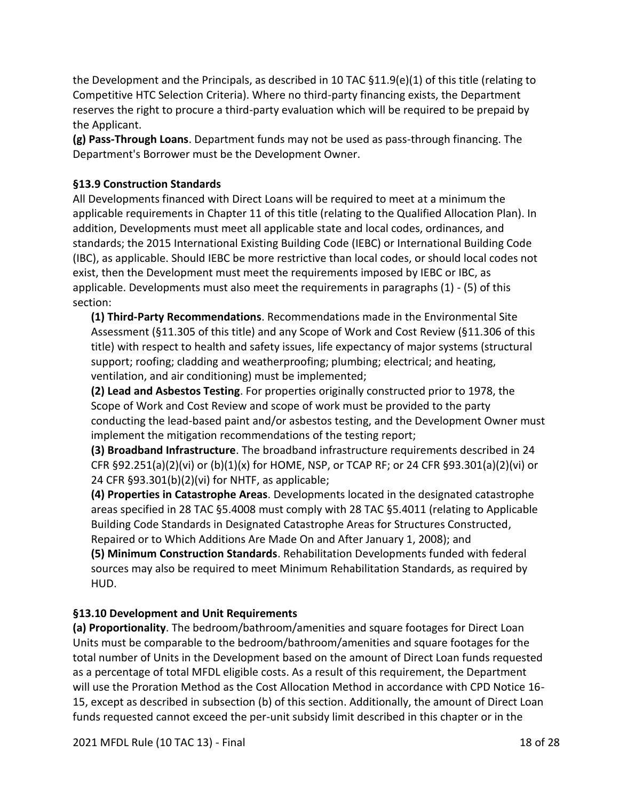the Development and the Principals, as described in 10 TAC §11.9(e)(1) of this title (relating to Competitive HTC Selection Criteria). Where no third-party financing exists, the Department reserves the right to procure a third-party evaluation which will be required to be prepaid by the Applicant.

**(g) Pass-Through Loans**. Department funds may not be used as pass-through financing. The Department's Borrower must be the Development Owner.

## **§13.9 Construction Standards**

All Developments financed with Direct Loans will be required to meet at a minimum the applicable requirements in Chapter 11 of this title (relating to the Qualified Allocation Plan). In addition, Developments must meet all applicable state and local codes, ordinances, and standards; the 2015 International Existing Building Code (IEBC) or International Building Code (IBC), as applicable. Should IEBC be more restrictive than local codes, or should local codes not exist, then the Development must meet the requirements imposed by IEBC or IBC, as applicable. Developments must also meet the requirements in paragraphs (1) - (5) of this section:

**(1) Third-Party Recommendations**. Recommendations made in the Environmental Site Assessment (§11.305 of this title) and any Scope of Work and Cost Review (§11.306 of this title) with respect to health and safety issues, life expectancy of major systems (structural support; roofing; cladding and weatherproofing; plumbing; electrical; and heating, ventilation, and air conditioning) must be implemented;

**(2) Lead and Asbestos Testing**. For properties originally constructed prior to 1978, the Scope of Work and Cost Review and scope of work must be provided to the party conducting the lead-based paint and/or asbestos testing, and the Development Owner must implement the mitigation recommendations of the testing report;

**(3) Broadband Infrastructure**. The broadband infrastructure requirements described in 24 CFR §92.251(a)(2)(vi) or (b)(1)(x) for HOME, NSP, or TCAP RF; or 24 CFR §93.301(a)(2)(vi) or 24 CFR §93.301(b)(2)(vi) for NHTF, as applicable;

**(4) Properties in Catastrophe Areas**. Developments located in the designated catastrophe areas specified in 28 TAC §5.4008 must comply with 28 TAC §5.4011 (relating to Applicable Building Code Standards in Designated Catastrophe Areas for Structures Constructed, Repaired or to Which Additions Are Made On and After January 1, 2008); and

**(5) Minimum Construction Standards**. Rehabilitation Developments funded with federal sources may also be required to meet Minimum Rehabilitation Standards, as required by HUD.

# **§13.10 Development and Unit Requirements**

**(a) Proportionality**. The bedroom/bathroom/amenities and square footages for Direct Loan Units must be comparable to the bedroom/bathroom/amenities and square footages for the total number of Units in the Development based on the amount of Direct Loan funds requested as a percentage of total MFDL eligible costs. As a result of this requirement, the Department will use the Proration Method as the Cost Allocation Method in accordance with CPD Notice 16- 15, except as described in subsection (b) of this section. Additionally, the amount of Direct Loan funds requested cannot exceed the per-unit subsidy limit described in this chapter or in the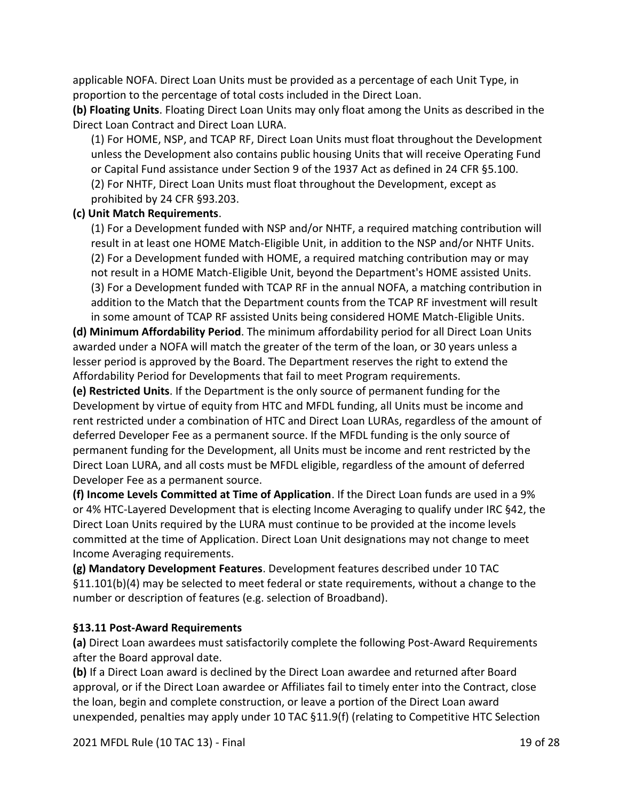applicable NOFA. Direct Loan Units must be provided as a percentage of each Unit Type, in proportion to the percentage of total costs included in the Direct Loan.

**(b) Floating Units**. Floating Direct Loan Units may only float among the Units as described in the Direct Loan Contract and Direct Loan LURA.

(1) For HOME, NSP, and TCAP RF, Direct Loan Units must float throughout the Development unless the Development also contains public housing Units that will receive Operating Fund or Capital Fund assistance under Section 9 of the 1937 Act as defined in 24 CFR §5.100. (2) For NHTF, Direct Loan Units must float throughout the Development, except as prohibited by 24 CFR §93.203.

#### **(c) Unit Match Requirements**.

(1) For a Development funded with NSP and/or NHTF, a required matching contribution will result in at least one HOME Match-Eligible Unit, in addition to the NSP and/or NHTF Units. (2) For a Development funded with HOME, a required matching contribution may or may not result in a HOME Match-Eligible Unit, beyond the Department's HOME assisted Units. (3) For a Development funded with TCAP RF in the annual NOFA, a matching contribution in addition to the Match that the Department counts from the TCAP RF investment will result in some amount of TCAP RF assisted Units being considered HOME Match-Eligible Units.

**(d) Minimum Affordability Period**. The minimum affordability period for all Direct Loan Units awarded under a NOFA will match the greater of the term of the loan, or 30 years unless a lesser period is approved by the Board. The Department reserves the right to extend the Affordability Period for Developments that fail to meet Program requirements.

**(e) Restricted Units**. If the Department is the only source of permanent funding for the Development by virtue of equity from HTC and MFDL funding, all Units must be income and rent restricted under a combination of HTC and Direct Loan LURAs, regardless of the amount of deferred Developer Fee as a permanent source. If the MFDL funding is the only source of permanent funding for the Development, all Units must be income and rent restricted by the Direct Loan LURA, and all costs must be MFDL eligible, regardless of the amount of deferred Developer Fee as a permanent source.

**(f) Income Levels Committed at Time of Application**. If the Direct Loan funds are used in a 9% or 4% HTC-Layered Development that is electing Income Averaging to qualify under IRC §42, the Direct Loan Units required by the LURA must continue to be provided at the income levels committed at the time of Application. Direct Loan Unit designations may not change to meet Income Averaging requirements.

**(g) Mandatory Development Features**. Development features described under 10 TAC §11.101(b)(4) may be selected to meet federal or state requirements, without a change to the number or description of features (e.g. selection of Broadband).

### **§13.11 Post-Award Requirements**

**(a)** Direct Loan awardees must satisfactorily complete the following Post-Award Requirements after the Board approval date.

**(b)** If a Direct Loan award is declined by the Direct Loan awardee and returned after Board approval, or if the Direct Loan awardee or Affiliates fail to timely enter into the Contract, close the loan, begin and complete construction, or leave a portion of the Direct Loan award unexpended, penalties may apply under 10 TAC §11.9(f) (relating to Competitive HTC Selection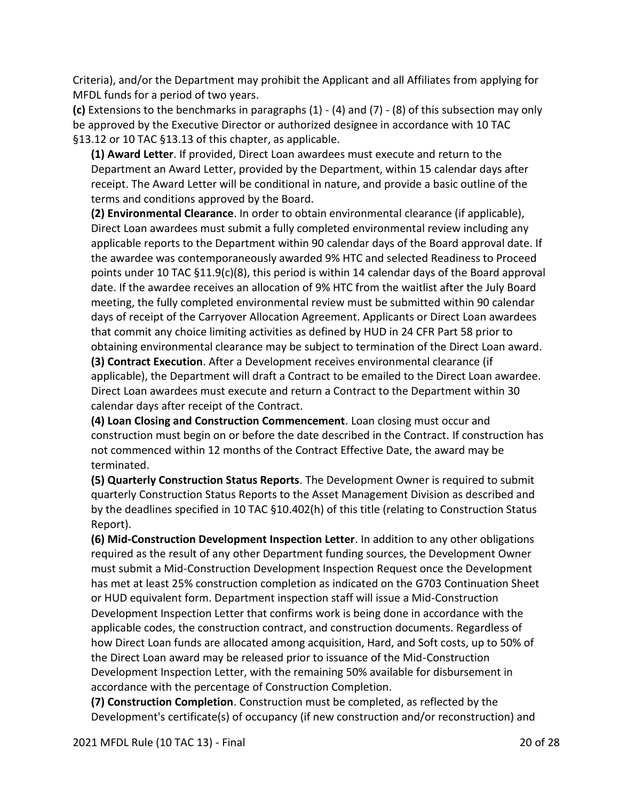Criteria), and/or the Department may prohibit the Applicant and all Affiliates from applying for MFDL funds for a period of two years.

**(c)** Extensions to the benchmarks in paragraphs (1) - (4) and (7) - (8) of this subsection may only be approved by the Executive Director or authorized designee in accordance with 10 TAC §13.12 or 10 TAC §13.13 of this chapter, as applicable.

**(1) Award Letter**. If provided, Direct Loan awardees must execute and return to the Department an Award Letter, provided by the Department, within 15 calendar days after receipt. The Award Letter will be conditional in nature, and provide a basic outline of the terms and conditions approved by the Board.

**(2) Environmental Clearance**. In order to obtain environmental clearance (if applicable), Direct Loan awardees must submit a fully completed environmental review including any applicable reports to the Department within 90 calendar days of the Board approval date. If the awardee was contemporaneously awarded 9% HTC and selected Readiness to Proceed points under 10 TAC §11.9(c)(8), this period is within 14 calendar days of the Board approval date. If the awardee receives an allocation of 9% HTC from the waitlist after the July Board meeting, the fully completed environmental review must be submitted within 90 calendar days of receipt of the Carryover Allocation Agreement. Applicants or Direct Loan awardees that commit any choice limiting activities as defined by HUD in 24 CFR Part 58 prior to obtaining environmental clearance may be subject to termination of the Direct Loan award. **(3) Contract Execution**. After a Development receives environmental clearance (if

applicable), the Department will draft a Contract to be emailed to the Direct Loan awardee. Direct Loan awardees must execute and return a Contract to the Department within 30 calendar days after receipt of the Contract.

**(4) Loan Closing and Construction Commencement**. Loan closing must occur and construction must begin on or before the date described in the Contract. If construction has not commenced within 12 months of the Contract Effective Date, the award may be terminated.

**(5) Quarterly Construction Status Reports**. The Development Owner is required to submit quarterly Construction Status Reports to the Asset Management Division as described and by the deadlines specified in 10 TAC §10.402(h) of this title (relating to Construction Status Report).

**(6) Mid-Construction Development Inspection Letter**. In addition to any other obligations required as the result of any other Department funding sources, the Development Owner must submit a Mid-Construction Development Inspection Request once the Development has met at least 25% construction completion as indicated on the G703 Continuation Sheet or HUD equivalent form. Department inspection staff will issue a Mid-Construction Development Inspection Letter that confirms work is being done in accordance with the applicable codes, the construction contract, and construction documents. Regardless of how Direct Loan funds are allocated among acquisition, Hard, and Soft costs, up to 50% of the Direct Loan award may be released prior to issuance of the Mid-Construction Development Inspection Letter, with the remaining 50% available for disbursement in accordance with the percentage of Construction Completion.

**(7) Construction Completion**. Construction must be completed, as reflected by the Development's certificate(s) of occupancy (if new construction and/or reconstruction) and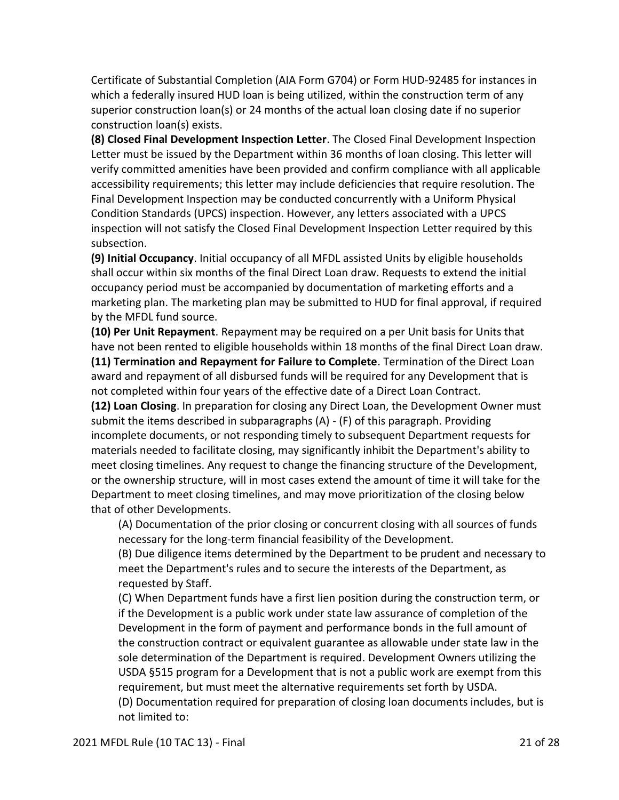Certificate of Substantial Completion (AIA Form G704) or Form HUD-92485 for instances in which a federally insured HUD loan is being utilized, within the construction term of any superior construction loan(s) or 24 months of the actual loan closing date if no superior construction loan(s) exists.

**(8) Closed Final Development Inspection Letter**. The Closed Final Development Inspection Letter must be issued by the Department within 36 months of loan closing. This letter will verify committed amenities have been provided and confirm compliance with all applicable accessibility requirements; this letter may include deficiencies that require resolution. The Final Development Inspection may be conducted concurrently with a Uniform Physical Condition Standards (UPCS) inspection. However, any letters associated with a UPCS inspection will not satisfy the Closed Final Development Inspection Letter required by this subsection.

**(9) Initial Occupancy**. Initial occupancy of all MFDL assisted Units by eligible households shall occur within six months of the final Direct Loan draw. Requests to extend the initial occupancy period must be accompanied by documentation of marketing efforts and a marketing plan. The marketing plan may be submitted to HUD for final approval, if required by the MFDL fund source.

**(10) Per Unit Repayment**. Repayment may be required on a per Unit basis for Units that have not been rented to eligible households within 18 months of the final Direct Loan draw. **(11) Termination and Repayment for Failure to Complete**. Termination of the Direct Loan award and repayment of all disbursed funds will be required for any Development that is not completed within four years of the effective date of a Direct Loan Contract.

**(12) Loan Closing**. In preparation for closing any Direct Loan, the Development Owner must submit the items described in subparagraphs (A) - (F) of this paragraph. Providing incomplete documents, or not responding timely to subsequent Department requests for materials needed to facilitate closing, may significantly inhibit the Department's ability to meet closing timelines. Any request to change the financing structure of the Development, or the ownership structure, will in most cases extend the amount of time it will take for the Department to meet closing timelines, and may move prioritization of the closing below that of other Developments.

(A) Documentation of the prior closing or concurrent closing with all sources of funds necessary for the long-term financial feasibility of the Development.

(B) Due diligence items determined by the Department to be prudent and necessary to meet the Department's rules and to secure the interests of the Department, as requested by Staff.

(C) When Department funds have a first lien position during the construction term, or if the Development is a public work under state law assurance of completion of the Development in the form of payment and performance bonds in the full amount of the construction contract or equivalent guarantee as allowable under state law in the sole determination of the Department is required. Development Owners utilizing the USDA §515 program for a Development that is not a public work are exempt from this requirement, but must meet the alternative requirements set forth by USDA. (D) Documentation required for preparation of closing loan documents includes, but is not limited to: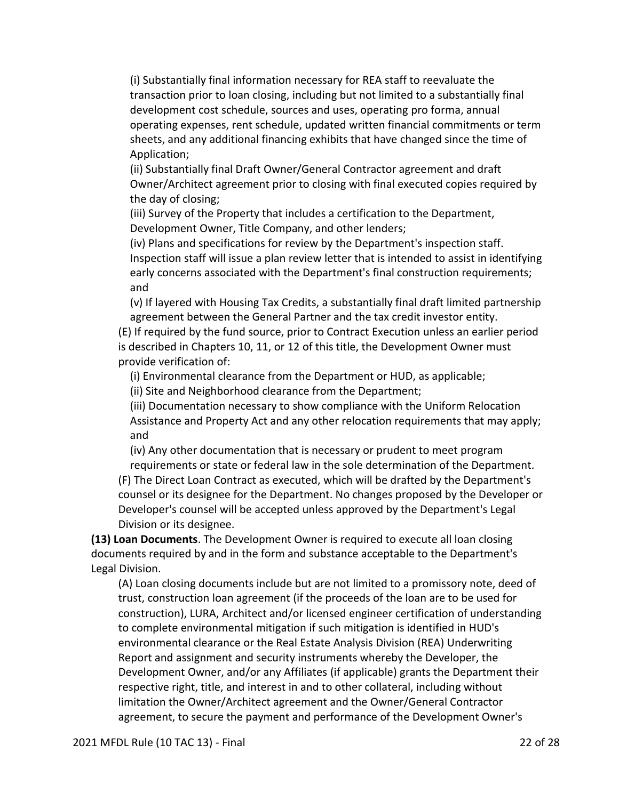(i) Substantially final information necessary for REA staff to reevaluate the transaction prior to loan closing, including but not limited to a substantially final development cost schedule, sources and uses, operating pro forma, annual operating expenses, rent schedule, updated written financial commitments or term sheets, and any additional financing exhibits that have changed since the time of Application;

(ii) Substantially final Draft Owner/General Contractor agreement and draft Owner/Architect agreement prior to closing with final executed copies required by the day of closing;

(iii) Survey of the Property that includes a certification to the Department, Development Owner, Title Company, and other lenders;

(iv) Plans and specifications for review by the Department's inspection staff. Inspection staff will issue a plan review letter that is intended to assist in identifying early concerns associated with the Department's final construction requirements; and

(v) If layered with Housing Tax Credits, a substantially final draft limited partnership agreement between the General Partner and the tax credit investor entity.

(E) If required by the fund source, prior to Contract Execution unless an earlier period is described in Chapters 10, 11, or 12 of this title, the Development Owner must provide verification of:

(i) Environmental clearance from the Department or HUD, as applicable;

(ii) Site and Neighborhood clearance from the Department;

(iii) Documentation necessary to show compliance with the Uniform Relocation Assistance and Property Act and any other relocation requirements that may apply; and

(iv) Any other documentation that is necessary or prudent to meet program requirements or state or federal law in the sole determination of the Department.

(F) The Direct Loan Contract as executed, which will be drafted by the Department's counsel or its designee for the Department. No changes proposed by the Developer or Developer's counsel will be accepted unless approved by the Department's Legal Division or its designee.

**(13) Loan Documents**. The Development Owner is required to execute all loan closing documents required by and in the form and substance acceptable to the Department's Legal Division.

(A) Loan closing documents include but are not limited to a promissory note, deed of trust, construction loan agreement (if the proceeds of the loan are to be used for construction), LURA, Architect and/or licensed engineer certification of understanding to complete environmental mitigation if such mitigation is identified in HUD's environmental clearance or the Real Estate Analysis Division (REA) Underwriting Report and assignment and security instruments whereby the Developer, the Development Owner, and/or any Affiliates (if applicable) grants the Department their respective right, title, and interest in and to other collateral, including without limitation the Owner/Architect agreement and the Owner/General Contractor agreement, to secure the payment and performance of the Development Owner's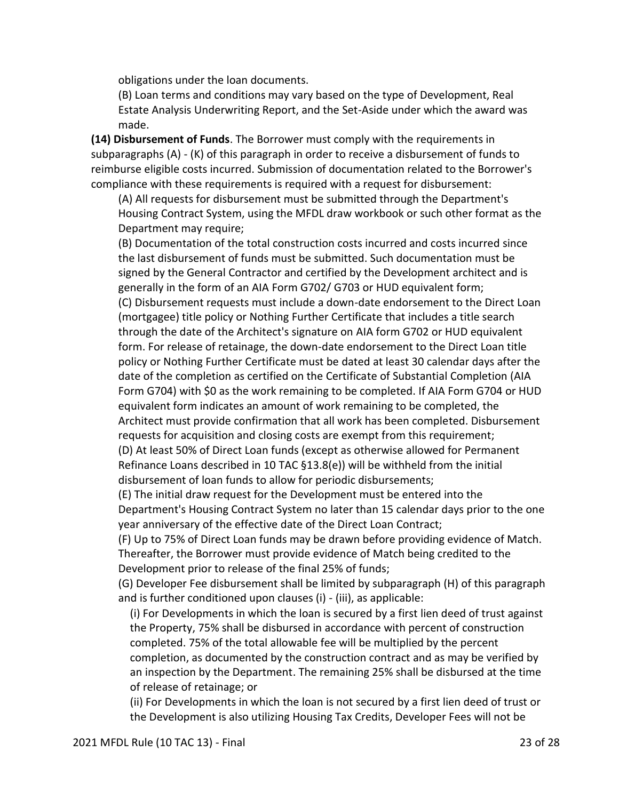obligations under the loan documents.

(B) Loan terms and conditions may vary based on the type of Development, Real Estate Analysis Underwriting Report, and the Set-Aside under which the award was made.

**(14) Disbursement of Funds**. The Borrower must comply with the requirements in subparagraphs (A) - (K) of this paragraph in order to receive a disbursement of funds to reimburse eligible costs incurred. Submission of documentation related to the Borrower's compliance with these requirements is required with a request for disbursement:

(A) All requests for disbursement must be submitted through the Department's Housing Contract System, using the MFDL draw workbook or such other format as the Department may require;

(B) Documentation of the total construction costs incurred and costs incurred since the last disbursement of funds must be submitted. Such documentation must be signed by the General Contractor and certified by the Development architect and is generally in the form of an AIA Form G702/ G703 or HUD equivalent form; (C) Disbursement requests must include a down-date endorsement to the Direct Loan (mortgagee) title policy or Nothing Further Certificate that includes a title search through the date of the Architect's signature on AIA form G702 or HUD equivalent form. For release of retainage, the down-date endorsement to the Direct Loan title policy or Nothing Further Certificate must be dated at least 30 calendar days after the date of the completion as certified on the Certificate of Substantial Completion (AIA Form G704) with \$0 as the work remaining to be completed. If AIA Form G704 or HUD equivalent form indicates an amount of work remaining to be completed, the Architect must provide confirmation that all work has been completed. Disbursement requests for acquisition and closing costs are exempt from this requirement; (D) At least 50% of Direct Loan funds (except as otherwise allowed for Permanent

Refinance Loans described in 10 TAC §13.8(e)) will be withheld from the initial disbursement of loan funds to allow for periodic disbursements;

(E) The initial draw request for the Development must be entered into the Department's Housing Contract System no later than 15 calendar days prior to the one year anniversary of the effective date of the Direct Loan Contract;

(F) Up to 75% of Direct Loan funds may be drawn before providing evidence of Match. Thereafter, the Borrower must provide evidence of Match being credited to the Development prior to release of the final 25% of funds;

(G) Developer Fee disbursement shall be limited by subparagraph (H) of this paragraph and is further conditioned upon clauses (i) - (iii), as applicable:

(i) For Developments in which the loan is secured by a first lien deed of trust against the Property, 75% shall be disbursed in accordance with percent of construction completed. 75% of the total allowable fee will be multiplied by the percent completion, as documented by the construction contract and as may be verified by an inspection by the Department. The remaining 25% shall be disbursed at the time of release of retainage; or

(ii) For Developments in which the loan is not secured by a first lien deed of trust or the Development is also utilizing Housing Tax Credits, Developer Fees will not be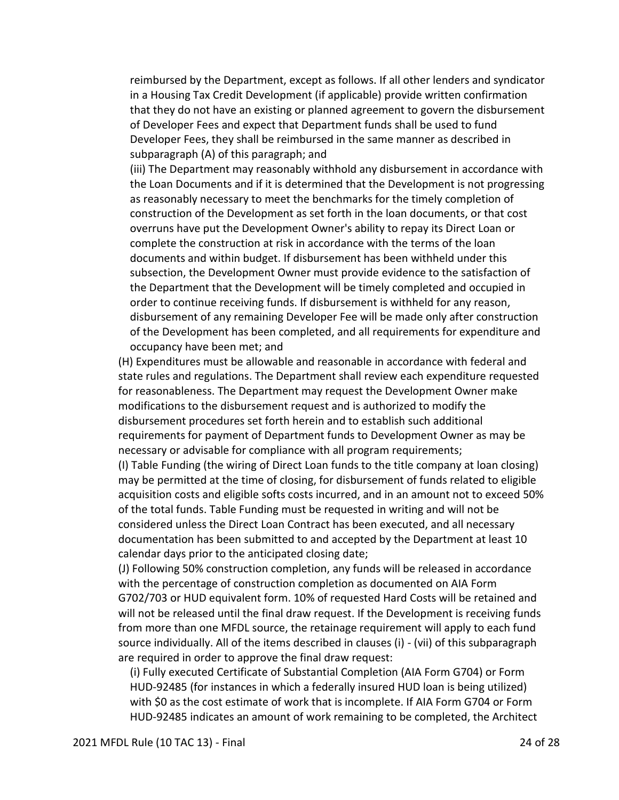reimbursed by the Department, except as follows. If all other lenders and syndicator in a Housing Tax Credit Development (if applicable) provide written confirmation that they do not have an existing or planned agreement to govern the disbursement of Developer Fees and expect that Department funds shall be used to fund Developer Fees, they shall be reimbursed in the same manner as described in subparagraph (A) of this paragraph; and

(iii) The Department may reasonably withhold any disbursement in accordance with the Loan Documents and if it is determined that the Development is not progressing as reasonably necessary to meet the benchmarks for the timely completion of construction of the Development as set forth in the loan documents, or that cost overruns have put the Development Owner's ability to repay its Direct Loan or complete the construction at risk in accordance with the terms of the loan documents and within budget. If disbursement has been withheld under this subsection, the Development Owner must provide evidence to the satisfaction of the Department that the Development will be timely completed and occupied in order to continue receiving funds. If disbursement is withheld for any reason, disbursement of any remaining Developer Fee will be made only after construction of the Development has been completed, and all requirements for expenditure and occupancy have been met; and

(H) Expenditures must be allowable and reasonable in accordance with federal and state rules and regulations. The Department shall review each expenditure requested for reasonableness. The Department may request the Development Owner make modifications to the disbursement request and is authorized to modify the disbursement procedures set forth herein and to establish such additional requirements for payment of Department funds to Development Owner as may be necessary or advisable for compliance with all program requirements;

(I) Table Funding (the wiring of Direct Loan funds to the title company at loan closing) may be permitted at the time of closing, for disbursement of funds related to eligible acquisition costs and eligible softs costs incurred, and in an amount not to exceed 50% of the total funds. Table Funding must be requested in writing and will not be considered unless the Direct Loan Contract has been executed, and all necessary documentation has been submitted to and accepted by the Department at least 10 calendar days prior to the anticipated closing date;

(J) Following 50% construction completion, any funds will be released in accordance with the percentage of construction completion as documented on AIA Form G702/703 or HUD equivalent form. 10% of requested Hard Costs will be retained and will not be released until the final draw request. If the Development is receiving funds from more than one MFDL source, the retainage requirement will apply to each fund source individually. All of the items described in clauses (i) - (vii) of this subparagraph are required in order to approve the final draw request:

(i) Fully executed Certificate of Substantial Completion (AIA Form G704) or Form HUD-92485 (for instances in which a federally insured HUD loan is being utilized) with \$0 as the cost estimate of work that is incomplete. If AIA Form G704 or Form HUD-92485 indicates an amount of work remaining to be completed, the Architect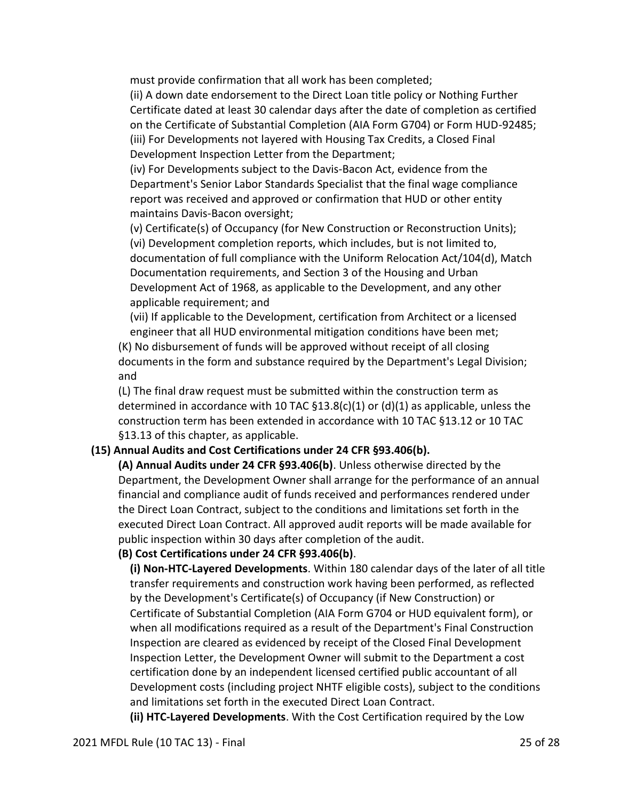must provide confirmation that all work has been completed;

(ii) A down date endorsement to the Direct Loan title policy or Nothing Further Certificate dated at least 30 calendar days after the date of completion as certified on the Certificate of Substantial Completion (AIA Form G704) or Form HUD-92485; (iii) For Developments not layered with Housing Tax Credits, a Closed Final Development Inspection Letter from the Department;

(iv) For Developments subject to the Davis-Bacon Act, evidence from the Department's Senior Labor Standards Specialist that the final wage compliance report was received and approved or confirmation that HUD or other entity maintains Davis-Bacon oversight;

(v) Certificate(s) of Occupancy (for New Construction or Reconstruction Units); (vi) Development completion reports, which includes, but is not limited to, documentation of full compliance with the Uniform Relocation Act/104(d), Match Documentation requirements, and Section 3 of the Housing and Urban Development Act of 1968, as applicable to the Development, and any other applicable requirement; and

(vii) If applicable to the Development, certification from Architect or a licensed engineer that all HUD environmental mitigation conditions have been met;

(K) No disbursement of funds will be approved without receipt of all closing documents in the form and substance required by the Department's Legal Division; and

(L) The final draw request must be submitted within the construction term as determined in accordance with 10 TAC  $\S 13.8(c)(1)$  or (d)(1) as applicable, unless the construction term has been extended in accordance with 10 TAC §13.12 or 10 TAC §13.13 of this chapter, as applicable.

### **(15) Annual Audits and Cost Certifications under 24 CFR §93.406(b).**

**(A) Annual Audits under 24 CFR §93.406(b)**. Unless otherwise directed by the Department, the Development Owner shall arrange for the performance of an annual financial and compliance audit of funds received and performances rendered under the Direct Loan Contract, subject to the conditions and limitations set forth in the executed Direct Loan Contract. All approved audit reports will be made available for public inspection within 30 days after completion of the audit.

#### **(B) Cost Certifications under 24 CFR §93.406(b)**.

**(i) Non-HTC-Layered Developments**. Within 180 calendar days of the later of all title transfer requirements and construction work having been performed, as reflected by the Development's Certificate(s) of Occupancy (if New Construction) or Certificate of Substantial Completion (AIA Form G704 or HUD equivalent form), or when all modifications required as a result of the Department's Final Construction Inspection are cleared as evidenced by receipt of the Closed Final Development Inspection Letter, the Development Owner will submit to the Department a cost certification done by an independent licensed certified public accountant of all Development costs (including project NHTF eligible costs), subject to the conditions and limitations set forth in the executed Direct Loan Contract.

**(ii) HTC-Layered Developments**. With the Cost Certification required by the Low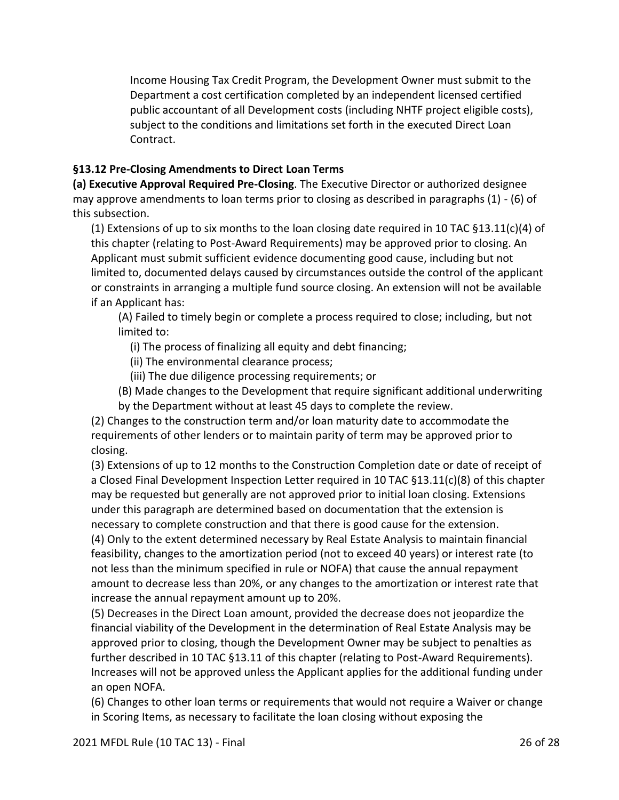Income Housing Tax Credit Program, the Development Owner must submit to the Department a cost certification completed by an independent licensed certified public accountant of all Development costs (including NHTF project eligible costs), subject to the conditions and limitations set forth in the executed Direct Loan Contract.

## **§13.12 Pre-Closing Amendments to Direct Loan Terms**

**(a) Executive Approval Required Pre-Closing**. The Executive Director or authorized designee may approve amendments to loan terms prior to closing as described in paragraphs (1) - (6) of this subsection.

(1) Extensions of up to six months to the loan closing date required in 10 TAC  $\S 13.11(c)(4)$  of this chapter (relating to Post-Award Requirements) may be approved prior to closing. An Applicant must submit sufficient evidence documenting good cause, including but not limited to, documented delays caused by circumstances outside the control of the applicant or constraints in arranging a multiple fund source closing. An extension will not be available if an Applicant has:

(A) Failed to timely begin or complete a process required to close; including, but not limited to:

- (i) The process of finalizing all equity and debt financing;
- (ii) The environmental clearance process;
- (iii) The due diligence processing requirements; or
- (B) Made changes to the Development that require significant additional underwriting by the Department without at least 45 days to complete the review.

(2) Changes to the construction term and/or loan maturity date to accommodate the requirements of other lenders or to maintain parity of term may be approved prior to closing.

(3) Extensions of up to 12 months to the Construction Completion date or date of receipt of a Closed Final Development Inspection Letter required in 10 TAC §13.11(c)(8) of this chapter may be requested but generally are not approved prior to initial loan closing. Extensions under this paragraph are determined based on documentation that the extension is necessary to complete construction and that there is good cause for the extension.

(4) Only to the extent determined necessary by Real Estate Analysis to maintain financial feasibility, changes to the amortization period (not to exceed 40 years) or interest rate (to not less than the minimum specified in rule or NOFA) that cause the annual repayment amount to decrease less than 20%, or any changes to the amortization or interest rate that increase the annual repayment amount up to 20%.

(5) Decreases in the Direct Loan amount, provided the decrease does not jeopardize the financial viability of the Development in the determination of Real Estate Analysis may be approved prior to closing, though the Development Owner may be subject to penalties as further described in 10 TAC §13.11 of this chapter (relating to Post-Award Requirements). Increases will not be approved unless the Applicant applies for the additional funding under an open NOFA.

(6) Changes to other loan terms or requirements that would not require a Waiver or change in Scoring Items, as necessary to facilitate the loan closing without exposing the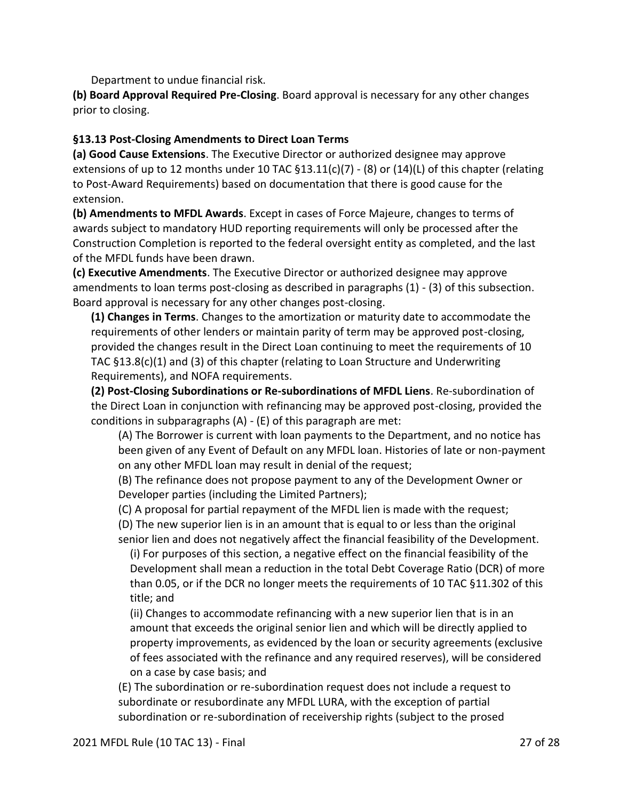Department to undue financial risk.

**(b) Board Approval Required Pre-Closing**. Board approval is necessary for any other changes prior to closing.

#### **§13.13 Post-Closing Amendments to Direct Loan Terms**

**(a) Good Cause Extensions**. The Executive Director or authorized designee may approve extensions of up to 12 months under 10 TAC  $\S$ 13.11(c)(7) - (8) or (14)(L) of this chapter (relating to Post-Award Requirements) based on documentation that there is good cause for the extension.

**(b) Amendments to MFDL Awards**. Except in cases of Force Majeure, changes to terms of awards subject to mandatory HUD reporting requirements will only be processed after the Construction Completion is reported to the federal oversight entity as completed, and the last of the MFDL funds have been drawn.

**(c) Executive Amendments**. The Executive Director or authorized designee may approve amendments to loan terms post-closing as described in paragraphs (1) - (3) of this subsection. Board approval is necessary for any other changes post-closing.

**(1) Changes in Terms**. Changes to the amortization or maturity date to accommodate the requirements of other lenders or maintain parity of term may be approved post-closing, provided the changes result in the Direct Loan continuing to meet the requirements of 10 TAC §13.8(c)(1) and (3) of this chapter (relating to Loan Structure and Underwriting Requirements), and NOFA requirements.

**(2) Post-Closing Subordinations or Re-subordinations of MFDL Liens**. Re-subordination of the Direct Loan in conjunction with refinancing may be approved post-closing, provided the conditions in subparagraphs (A) - (E) of this paragraph are met:

(A) The Borrower is current with loan payments to the Department, and no notice has been given of any Event of Default on any MFDL loan. Histories of late or non-payment on any other MFDL loan may result in denial of the request;

(B) The refinance does not propose payment to any of the Development Owner or Developer parties (including the Limited Partners);

(C) A proposal for partial repayment of the MFDL lien is made with the request;

(D) The new superior lien is in an amount that is equal to or less than the original senior lien and does not negatively affect the financial feasibility of the Development.

(i) For purposes of this section, a negative effect on the financial feasibility of the Development shall mean a reduction in the total Debt Coverage Ratio (DCR) of more than 0.05, or if the DCR no longer meets the requirements of 10 TAC §11.302 of this title; and

(ii) Changes to accommodate refinancing with a new superior lien that is in an amount that exceeds the original senior lien and which will be directly applied to property improvements, as evidenced by the loan or security agreements (exclusive of fees associated with the refinance and any required reserves), will be considered on a case by case basis; and

(E) The subordination or re-subordination request does not include a request to subordinate or resubordinate any MFDL LURA, with the exception of partial subordination or re-subordination of receivership rights (subject to the prosed